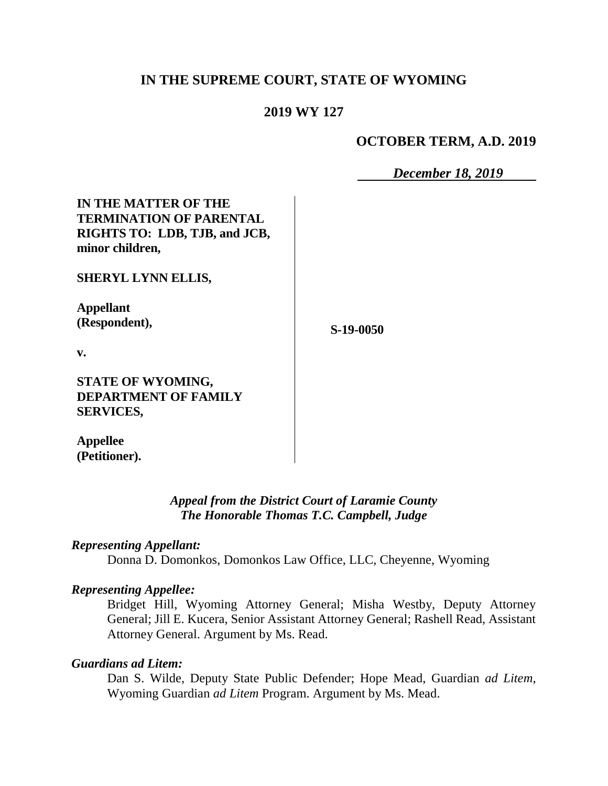## **IN THE SUPREME COURT, STATE OF WYOMING**

### **2019 WY 127**

#### **OCTOBER TERM, A.D. 2019**

*December 18, 2019*

**IN THE MATTER OF THE TERMINATION OF PARENTAL RIGHTS TO: LDB, TJB, and JCB, minor children,**

**SHERYL LYNN ELLIS,**

**Appellant (Respondent),**

**S-19-0050**

**v.**

**STATE OF WYOMING, DEPARTMENT OF FAMILY SERVICES,**

**Appellee (Petitioner).**

#### *Appeal from the District Court of Laramie County The Honorable Thomas T.C. Campbell, Judge*

#### *Representing Appellant:*

Donna D. Domonkos, Domonkos Law Office, LLC, Cheyenne, Wyoming

#### *Representing Appellee:*

Bridget Hill, Wyoming Attorney General; Misha Westby, Deputy Attorney General; Jill E. Kucera, Senior Assistant Attorney General; Rashell Read, Assistant Attorney General. Argument by Ms. Read.

#### *Guardians ad Litem:*

Dan S. Wilde, Deputy State Public Defender; Hope Mead, Guardian *ad Litem*, Wyoming Guardian *ad Litem* Program. Argument by Ms. Mead.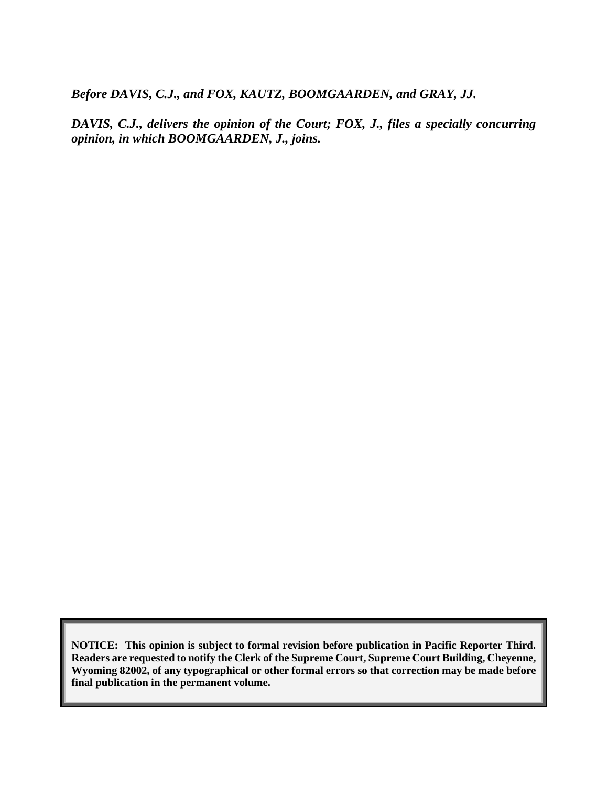*Before DAVIS, C.J., and FOX, KAUTZ, BOOMGAARDEN, and GRAY, JJ.*

*DAVIS, C.J., delivers the opinion of the Court; FOX, J., files a specially concurring opinion, in which BOOMGAARDEN, J., joins.*

**NOTICE: This opinion is subject to formal revision before publication in Pacific Reporter Third. Readers are requested to notify the Clerk of the Supreme Court, Supreme Court Building, Cheyenne, Wyoming 82002, of any typographical or other formal errors so that correction may be made before final publication in the permanent volume.**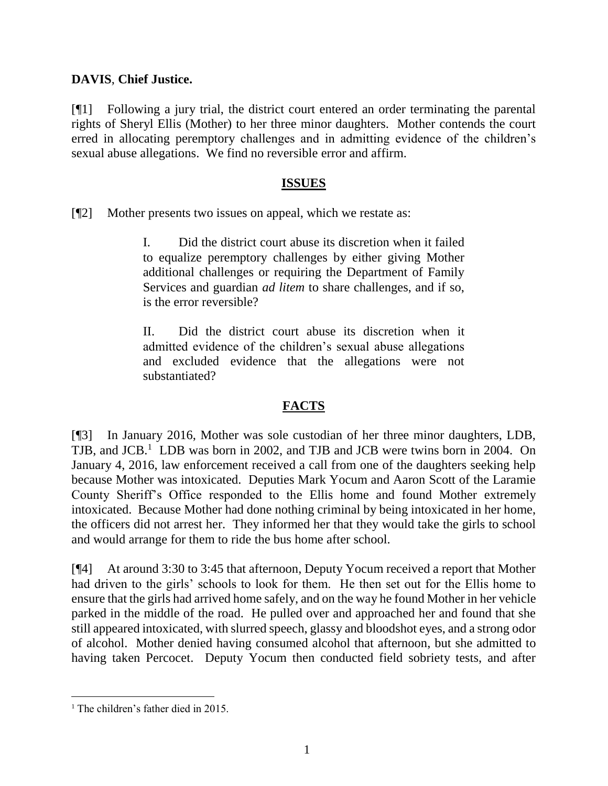## **DAVIS**, **Chief Justice.**

[¶1] Following a jury trial, the district court entered an order terminating the parental rights of Sheryl Ellis (Mother) to her three minor daughters. Mother contends the court erred in allocating peremptory challenges and in admitting evidence of the children's sexual abuse allegations. We find no reversible error and affirm.

## **ISSUES**

[¶2] Mother presents two issues on appeal, which we restate as:

I. Did the district court abuse its discretion when it failed to equalize peremptory challenges by either giving Mother additional challenges or requiring the Department of Family Services and guardian *ad litem* to share challenges, and if so, is the error reversible?

II. Did the district court abuse its discretion when it admitted evidence of the children's sexual abuse allegations and excluded evidence that the allegations were not substantiated?

## **FACTS**

[¶3] In January 2016, Mother was sole custodian of her three minor daughters, LDB, TJB, and JCB.<sup>1</sup> LDB was born in 2002, and TJB and JCB were twins born in 2004. On January 4, 2016, law enforcement received a call from one of the daughters seeking help because Mother was intoxicated. Deputies Mark Yocum and Aaron Scott of the Laramie County Sheriff's Office responded to the Ellis home and found Mother extremely intoxicated. Because Mother had done nothing criminal by being intoxicated in her home, the officers did not arrest her. They informed her that they would take the girls to school and would arrange for them to ride the bus home after school.

[¶4] At around 3:30 to 3:45 that afternoon, Deputy Yocum received a report that Mother had driven to the girls' schools to look for them. He then set out for the Ellis home to ensure that the girls had arrived home safely, and on the way he found Mother in her vehicle parked in the middle of the road. He pulled over and approached her and found that she still appeared intoxicated, with slurred speech, glassy and bloodshot eyes, and a strong odor of alcohol. Mother denied having consumed alcohol that afternoon, but she admitted to having taken Percocet. Deputy Yocum then conducted field sobriety tests, and after

<sup>&</sup>lt;sup>1</sup> The children's father died in 2015.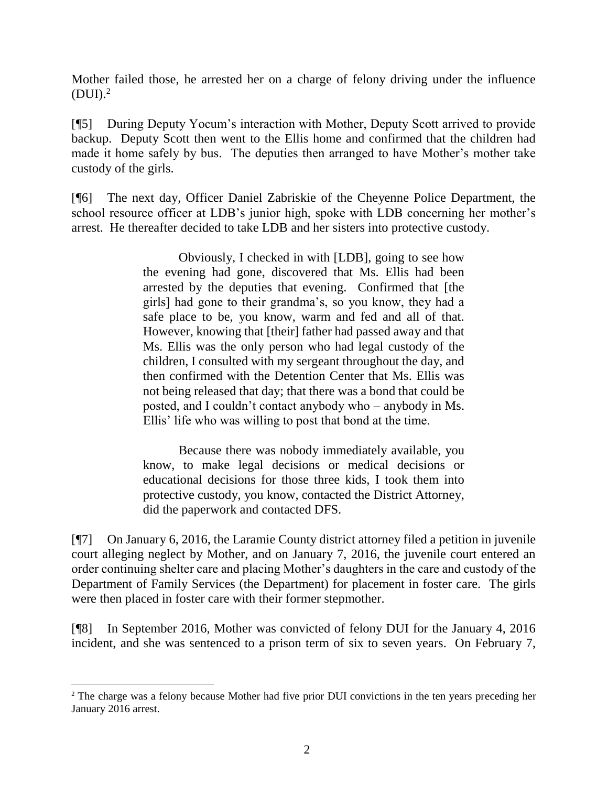Mother failed those, he arrested her on a charge of felony driving under the influence  $(DUI).<sup>2</sup>$ 

[¶5] During Deputy Yocum's interaction with Mother, Deputy Scott arrived to provide backup. Deputy Scott then went to the Ellis home and confirmed that the children had made it home safely by bus. The deputies then arranged to have Mother's mother take custody of the girls.

[¶6] The next day, Officer Daniel Zabriskie of the Cheyenne Police Department, the school resource officer at LDB's junior high, spoke with LDB concerning her mother's arrest. He thereafter decided to take LDB and her sisters into protective custody.

> Obviously, I checked in with [LDB], going to see how the evening had gone, discovered that Ms. Ellis had been arrested by the deputies that evening. Confirmed that [the girls] had gone to their grandma's, so you know, they had a safe place to be, you know, warm and fed and all of that. However, knowing that [their] father had passed away and that Ms. Ellis was the only person who had legal custody of the children, I consulted with my sergeant throughout the day, and then confirmed with the Detention Center that Ms. Ellis was not being released that day; that there was a bond that could be posted, and I couldn't contact anybody who – anybody in Ms. Ellis' life who was willing to post that bond at the time.

> Because there was nobody immediately available, you know, to make legal decisions or medical decisions or educational decisions for those three kids, I took them into protective custody, you know, contacted the District Attorney, did the paperwork and contacted DFS.

[¶7] On January 6, 2016, the Laramie County district attorney filed a petition in juvenile court alleging neglect by Mother, and on January 7, 2016, the juvenile court entered an order continuing shelter care and placing Mother's daughters in the care and custody of the Department of Family Services (the Department) for placement in foster care. The girls were then placed in foster care with their former stepmother.

[¶8] In September 2016, Mother was convicted of felony DUI for the January 4, 2016 incident, and she was sentenced to a prison term of six to seven years. On February 7,

l

<sup>2</sup> The charge was a felony because Mother had five prior DUI convictions in the ten years preceding her January 2016 arrest.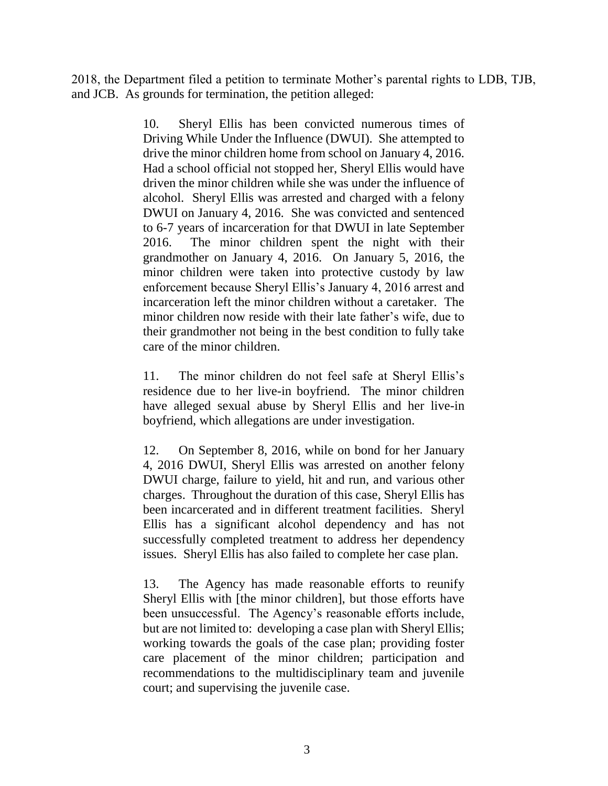2018, the Department filed a petition to terminate Mother's parental rights to LDB, TJB, and JCB. As grounds for termination, the petition alleged:

> 10. Sheryl Ellis has been convicted numerous times of Driving While Under the Influence (DWUI). She attempted to drive the minor children home from school on January 4, 2016. Had a school official not stopped her, Sheryl Ellis would have driven the minor children while she was under the influence of alcohol. Sheryl Ellis was arrested and charged with a felony DWUI on January 4, 2016. She was convicted and sentenced to 6-7 years of incarceration for that DWUI in late September 2016. The minor children spent the night with their grandmother on January 4, 2016. On January 5, 2016, the minor children were taken into protective custody by law enforcement because Sheryl Ellis's January 4, 2016 arrest and incarceration left the minor children without a caretaker. The minor children now reside with their late father's wife, due to their grandmother not being in the best condition to fully take care of the minor children.

> 11. The minor children do not feel safe at Sheryl Ellis's residence due to her live-in boyfriend. The minor children have alleged sexual abuse by Sheryl Ellis and her live-in boyfriend, which allegations are under investigation.

> 12. On September 8, 2016, while on bond for her January 4, 2016 DWUI, Sheryl Ellis was arrested on another felony DWUI charge, failure to yield, hit and run, and various other charges. Throughout the duration of this case, Sheryl Ellis has been incarcerated and in different treatment facilities. Sheryl Ellis has a significant alcohol dependency and has not successfully completed treatment to address her dependency issues. Sheryl Ellis has also failed to complete her case plan.

> 13. The Agency has made reasonable efforts to reunify Sheryl Ellis with [the minor children], but those efforts have been unsuccessful. The Agency's reasonable efforts include, but are not limited to: developing a case plan with Sheryl Ellis; working towards the goals of the case plan; providing foster care placement of the minor children; participation and recommendations to the multidisciplinary team and juvenile court; and supervising the juvenile case.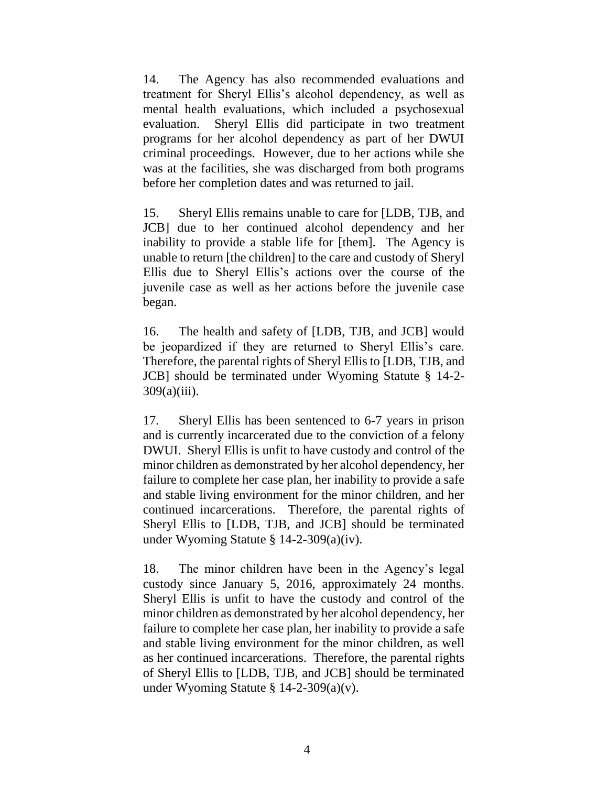14. The Agency has also recommended evaluations and treatment for Sheryl Ellis's alcohol dependency, as well as mental health evaluations, which included a psychosexual evaluation. Sheryl Ellis did participate in two treatment programs for her alcohol dependency as part of her DWUI criminal proceedings. However, due to her actions while she was at the facilities, she was discharged from both programs before her completion dates and was returned to jail.

15. Sheryl Ellis remains unable to care for [LDB, TJB, and JCB] due to her continued alcohol dependency and her inability to provide a stable life for [them]. The Agency is unable to return [the children] to the care and custody of Sheryl Ellis due to Sheryl Ellis's actions over the course of the juvenile case as well as her actions before the juvenile case began.

16. The health and safety of [LDB, TJB, and JCB] would be jeopardized if they are returned to Sheryl Ellis's care. Therefore, the parental rights of Sheryl Ellis to [LDB, TJB, and JCB] should be terminated under Wyoming Statute § 14-2- 309(a)(iii).

17. Sheryl Ellis has been sentenced to 6-7 years in prison and is currently incarcerated due to the conviction of a felony DWUI. Sheryl Ellis is unfit to have custody and control of the minor children as demonstrated by her alcohol dependency, her failure to complete her case plan, her inability to provide a safe and stable living environment for the minor children, and her continued incarcerations. Therefore, the parental rights of Sheryl Ellis to [LDB, TJB, and JCB] should be terminated under Wyoming Statute § 14-2-309(a)(iv).

18. The minor children have been in the Agency's legal custody since January 5, 2016, approximately 24 months. Sheryl Ellis is unfit to have the custody and control of the minor children as demonstrated by her alcohol dependency, her failure to complete her case plan, her inability to provide a safe and stable living environment for the minor children, as well as her continued incarcerations. Therefore, the parental rights of Sheryl Ellis to [LDB, TJB, and JCB] should be terminated under Wyoming Statute § 14-2-309(a)(v).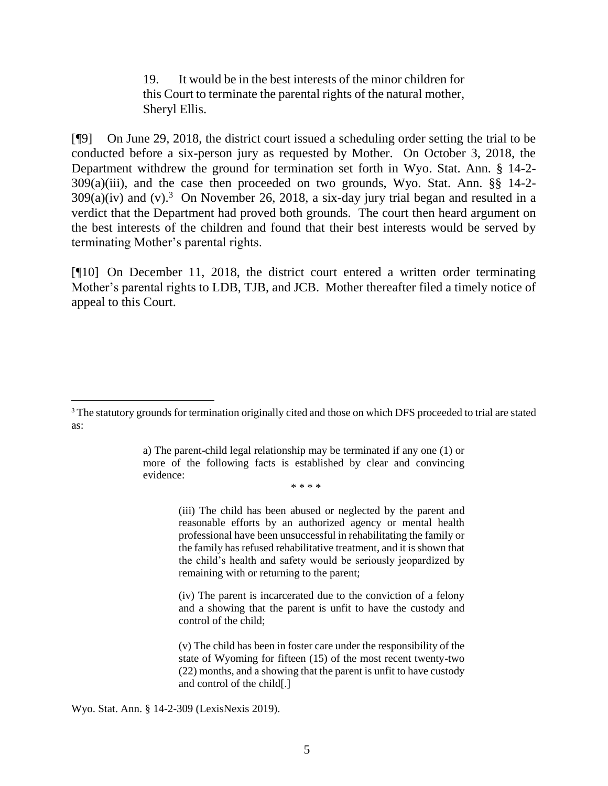19. It would be in the best interests of the minor children for this Court to terminate the parental rights of the natural mother, Sheryl Ellis.

[¶9] On June 29, 2018, the district court issued a scheduling order setting the trial to be conducted before a six-person jury as requested by Mother. On October 3, 2018, the Department withdrew the ground for termination set forth in Wyo. Stat. Ann. § 14-2- 309(a)(iii), and the case then proceeded on two grounds, Wyo. Stat. Ann. §§ 14-2-  $309(a)(iv)$  and (v).<sup>3</sup> On November 26, 2018, a six-day jury trial began and resulted in a verdict that the Department had proved both grounds. The court then heard argument on the best interests of the children and found that their best interests would be served by terminating Mother's parental rights.

[¶10] On December 11, 2018, the district court entered a written order terminating Mother's parental rights to LDB, TJB, and JCB. Mother thereafter filed a timely notice of appeal to this Court.

a) The parent-child legal relationship may be terminated if any one (1) or more of the following facts is established by clear and convincing evidence:

\* \* \* \*

(iii) The child has been abused or neglected by the parent and reasonable efforts by an authorized agency or mental health professional have been unsuccessful in rehabilitating the family or the family has refused rehabilitative treatment, and it is shown that the child's health and safety would be seriously jeopardized by remaining with or returning to the parent;

(iv) The parent is incarcerated due to the conviction of a felony and a showing that the parent is unfit to have the custody and control of the child;

(v) The child has been in foster care under the responsibility of the state of Wyoming for fifteen (15) of the most recent twenty-two (22) months, and a showing that the parent is unfit to have custody and control of the child[.]

Wyo. Stat. Ann. § 14-2-309 (LexisNexis 2019).

 $\overline{a}$ 

<sup>&</sup>lt;sup>3</sup> The statutory grounds for termination originally cited and those on which DFS proceeded to trial are stated as: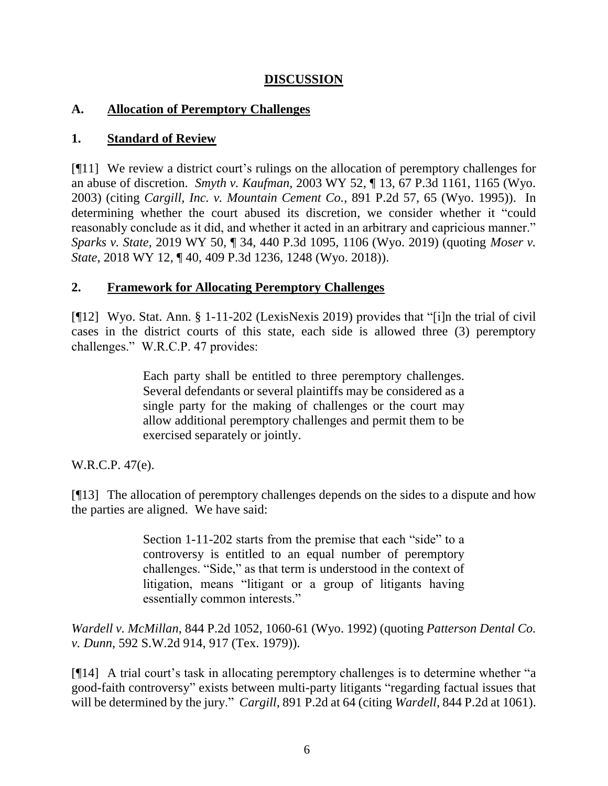# **DISCUSSION**

## **A. Allocation of Peremptory Challenges**

# **1. Standard of Review**

[¶11] We review a district court's rulings on the allocation of peremptory challenges for an abuse of discretion. *Smyth v. Kaufman*, 2003 WY 52, ¶ 13, 67 P.3d 1161, 1165 (Wyo. 2003) (citing *Cargill, Inc. v. Mountain Cement Co.*, 891 P.2d 57, 65 (Wyo. 1995)). In determining whether the court abused its discretion, we consider whether it "could reasonably conclude as it did, and whether it acted in an arbitrary and capricious manner." *Sparks v. State*, 2019 WY 50, ¶ 34, 440 P.3d 1095, 1106 (Wyo. 2019) (quoting *[Moser v.](http://www.westlaw.com/Link/Document/FullText?findType=Y&serNum=2043775846&pubNum=0004645&originatingDoc=I38542ca0778f11e98eaef725d418138a&refType=RP&fi=co_pp_sp_4645_1248&originationContext=document&vr=3.0&rs=cblt1.0&transitionType=DocumentItem&contextData=(sc.Search)#co_pp_sp_4645_1248)  State*[, 2018 WY 12, ¶ 40, 409 P.3d 1236, 1248 \(Wyo. 2018\)\)](http://www.westlaw.com/Link/Document/FullText?findType=Y&serNum=2043775846&pubNum=0004645&originatingDoc=I38542ca0778f11e98eaef725d418138a&refType=RP&fi=co_pp_sp_4645_1248&originationContext=document&vr=3.0&rs=cblt1.0&transitionType=DocumentItem&contextData=(sc.Search)#co_pp_sp_4645_1248).

# **2. Framework for Allocating Peremptory Challenges**

[¶12] Wyo. Stat. Ann. § 1-11-202 (LexisNexis 2019) provides that "[i]n the trial of civil cases in the district courts of this state, each side is allowed three (3) peremptory challenges." W.R.C.P. 47 provides:

> Each party shall be entitled to three peremptory challenges. Several defendants or several plaintiffs may be considered as a single party for the making of challenges or the court may allow additional peremptory challenges and permit them to be exercised separately or jointly.

W.R.C.P. 47(e).

[¶13] The allocation of peremptory challenges depends on the sides to a dispute and how the parties are aligned. We have said:

> [Section 1-11-202](http://www.westlaw.com/Link/Document/FullText?findType=L&pubNum=1000377&cite=WYSTS1-11-202&originatingDoc=I180effc8f5a711d9bf60c1d57ebc853e&refType=LQ&originationContext=document&vr=3.0&rs=cblt1.0&transitionType=DocumentItem&contextData=(sc.Keycite)) starts from the premise that each "side" to a controversy is entitled to an equal number of peremptory challenges. "Side," as that term is understood in the context of litigation, means "litigant or a group of litigants having essentially common interests."

*Wardell v. McMillan*, 844 P.2d 1052, 1060-61 (Wyo. 1992) (quoting *Patterson Dental Co. v. Dunn*, 592 S.W.2d 914, 917 (Tex. 1979)).

[¶14] A trial court's task in allocating peremptory challenges is to determine whether "a good-faith controversy" exists between multi-party litigants "regarding factual issues that will be determined by the jury." *Cargill*, 891 P.2d at 64 (citing *Wardell*[, 844 P.2d at 1061\)](http://www.westlaw.com/Link/Document/FullText?findType=Y&serNum=1992224253&pubNum=0000661&originatingDoc=Ia0391de3f58a11d9b386b232635db992&refType=RP&fi=co_pp_sp_661_1061&originationContext=document&vr=3.0&rs=cblt1.0&transitionType=DocumentItem&contextData=(sc.Keycite)#co_pp_sp_661_1061).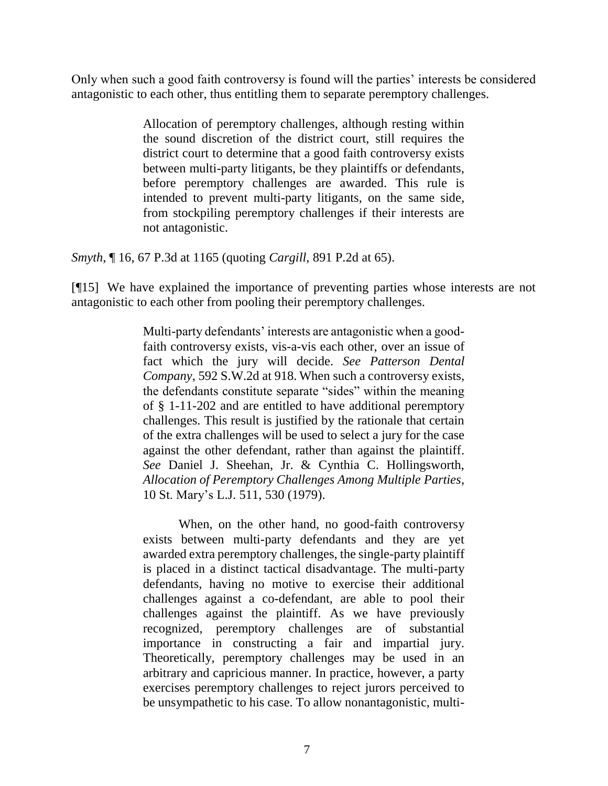Only when such a good faith controversy is found will the parties' interests be considered antagonistic to each other, thus entitling them to separate peremptory challenges.

> Allocation of peremptory challenges, although resting within the sound discretion of the district court, still requires the district court to determine that a good faith controversy exists between multi-party litigants, be they plaintiffs or defendants, before peremptory challenges are awarded. This rule is intended to prevent multi-party litigants, on the same side, from stockpiling peremptory challenges if their interests are not antagonistic.

*Smyth*, ¶ 16, 67 P.3d at 1165 (quoting *Cargill*, 891 P.2d at 65).

[¶15] We have explained the importance of preventing parties whose interests are not antagonistic to each other from pooling their peremptory challenges.

> Multi-party defendants' interests are antagonistic when a goodfaith controversy exists, vis-a-vis each other, over an issue of fact which the jury will decide. *See [Patterson Dental](http://www.westlaw.com/Link/Document/FullText?findType=Y&serNum=1979140282&pubNum=713&originatingDoc=I180effc8f5a711d9bf60c1d57ebc853e&refType=RP&fi=co_pp_sp_713_918&originationContext=document&vr=3.0&rs=cblt1.0&transitionType=DocumentItem&contextData=(sc.Keycite)#co_pp_sp_713_918)  Company*[, 592 S.W.2d at 918.](http://www.westlaw.com/Link/Document/FullText?findType=Y&serNum=1979140282&pubNum=713&originatingDoc=I180effc8f5a711d9bf60c1d57ebc853e&refType=RP&fi=co_pp_sp_713_918&originationContext=document&vr=3.0&rs=cblt1.0&transitionType=DocumentItem&contextData=(sc.Keycite)#co_pp_sp_713_918) When such a controversy exists, the defendants constitute separate "sides" within the meaning of [§ 1-11-202](http://www.westlaw.com/Link/Document/FullText?findType=L&pubNum=1000377&cite=WYSTS1-11-202&originatingDoc=I180effc8f5a711d9bf60c1d57ebc853e&refType=LQ&originationContext=document&vr=3.0&rs=cblt1.0&transitionType=DocumentItem&contextData=(sc.Keycite)) and are entitled to have additional peremptory challenges. This result is justified by the rationale that certain of the extra challenges will be used to select a jury for the case against the other defendant, rather than against the plaintiff. *See* Daniel J. Sheehan, Jr. & Cynthia C. Hollingsworth, *Allocation of Peremptory Challenges Among Multiple Parties*, 10 St. Mary's L.J. 511, 530 (1979).

> When, on the other hand, no good-faith controversy exists between multi-party defendants and they are yet awarded extra peremptory challenges, the single-party plaintiff is placed in a distinct tactical disadvantage. The multi-party defendants, having no motive to exercise their additional challenges against a co-defendant, are able to pool their challenges against the plaintiff. As we have previously recognized, peremptory challenges are of substantial importance in constructing a fair and impartial jury. Theoretically, peremptory challenges may be used in an arbitrary and capricious manner. In practice, however, a party exercises peremptory challenges to reject jurors perceived to be unsympathetic to his case. To allow nonantagonistic, multi-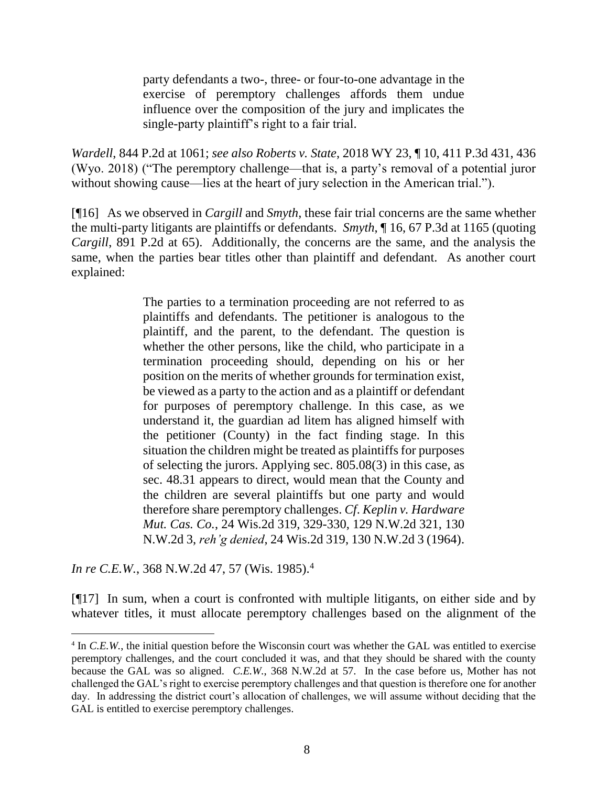party defendants a two-, three- or four-to-one advantage in the exercise of peremptory challenges affords them undue influence over the composition of the jury and implicates the single-party plaintiff's right to a fair trial.

*Wardell*, 844 P.2d at 1061; *see also Roberts v. State*, 2018 WY 23, ¶ 10, 411 P.3d 431, 436 (Wyo. 2018) ("The peremptory challenge—that is, a party's removal of a potential juror without showing cause—lies at the heart of jury selection in the American trial.").

[¶16] As we observed in *Cargill* and *Smyth*, these fair trial concerns are the same whether the multi-party litigants are plaintiffs or defendants. *Smyth*, ¶ 16, 67 P.3d at 1165 (quoting *Cargill*, 891 P.2d at 65). Additionally, the concerns are the same, and the analysis the same, when the parties bear titles other than plaintiff and defendant. As another court explained:

> The parties to a termination proceeding are not referred to as plaintiffs and defendants. The petitioner is analogous to the plaintiff, and the parent, to the defendant. The question is whether the other persons, like the child, who participate in a termination proceeding should, depending on his or her position on the merits of whether grounds for termination exist, be viewed as a party to the action and as a plaintiff or defendant for purposes of peremptory challenge. In this case, as we understand it, the guardian ad litem has aligned himself with the petitioner (County) in the fact finding stage. In this situation the children might be treated as plaintiffs for purposes of selecting the jurors. Applying [sec. 805.08\(3\)](http://www.westlaw.com/Link/Document/FullText?findType=L&pubNum=1000260&cite=WIST805.08&originatingDoc=I9adea180fea911d9bf60c1d57ebc853e&refType=SP&originationContext=document&vr=3.0&rs=cblt1.0&transitionType=DocumentItem&contextData=(sc.Search)#co_pp_d08f0000f5f67) in this case, as [sec. 48.31](http://www.westlaw.com/Link/Document/FullText?findType=L&pubNum=1000260&cite=WIST48.31&originatingDoc=I9adea180fea911d9bf60c1d57ebc853e&refType=LQ&originationContext=document&vr=3.0&rs=cblt1.0&transitionType=DocumentItem&contextData=(sc.Search)) appears to direct, would mean that the County and the children are several plaintiffs but one party and would therefore share peremptory challenges. *Cf*. *Keplin v. Hardware Mut. Cas. Co.*, 24 Wis.2d 319, 329-330, 129 N.W.2d 321, [130](http://www.westlaw.com/Link/Document/FullText?findType=Y&serNum=1964135261&pubNum=595&originatingDoc=I9adea180fea911d9bf60c1d57ebc853e&refType=RP&originationContext=document&vr=3.0&rs=cblt1.0&transitionType=DocumentItem&contextData=(sc.Search))  [N.W.2d 3,](http://www.westlaw.com/Link/Document/FullText?findType=Y&serNum=1964135261&pubNum=595&originatingDoc=I9adea180fea911d9bf60c1d57ebc853e&refType=RP&originationContext=document&vr=3.0&rs=cblt1.0&transitionType=DocumentItem&contextData=(sc.Search)) *reh'g denied*, 24 Wis.2d 319, 130 N.W.2d 3 (1964).

*In re C.E.W.*, 368 N.W.2d 47, 57 (Wis. 1985).<sup>4</sup>

 $\overline{a}$ 

[¶17] In sum, when a court is confronted with multiple litigants, on either side and by whatever titles, it must allocate peremptory challenges based on the alignment of the

<sup>&</sup>lt;sup>4</sup> In *C.E.W.*, the initial question before the Wisconsin court was whether the GAL was entitled to exercise peremptory challenges, and the court concluded it was, and that they should be shared with the county because the GAL was so aligned. *C.E.W.*, 368 N.W.2d at 57. In the case before us, Mother has not challenged the GAL's right to exercise peremptory challenges and that question is therefore one for another day. In addressing the district court's allocation of challenges, we will assume without deciding that the GAL is entitled to exercise peremptory challenges.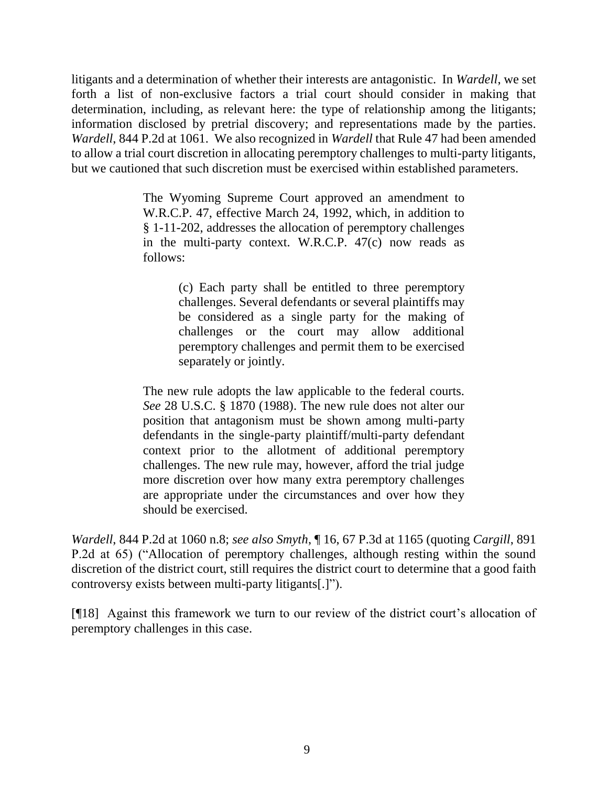litigants and a determination of whether their interests are antagonistic. In *Wardell*, we set forth a list of non-exclusive factors a trial court should consider in making that determination, including, as relevant here: the type of relationship among the litigants; information disclosed by pretrial discovery; and representations made by the parties. *Wardell*, 844 P.2d at 1061. We also recognized in *Wardell* that Rule 47 had been amended to allow a trial court discretion in allocating peremptory challenges to multi-party litigants, but we cautioned that such discretion must be exercised within established parameters.

> The Wyoming Supreme Court approved an amendment to [W.R.C.P. 47,](http://www.westlaw.com/Link/Document/FullText?findType=L&pubNum=1008760&cite=WYRRCPR47&originatingDoc=I180effc8f5a711d9bf60c1d57ebc853e&refType=LQ&originationContext=document&vr=3.0&rs=cblt1.0&transitionType=DocumentItem&contextData=(sc.Keycite)) effective March 24, 1992, which, in addition to [§ 1-11-202,](http://www.westlaw.com/Link/Document/FullText?findType=L&pubNum=1000377&cite=WYSTS1-11-202&originatingDoc=I180effc8f5a711d9bf60c1d57ebc853e&refType=LQ&originationContext=document&vr=3.0&rs=cblt1.0&transitionType=DocumentItem&contextData=(sc.Keycite)) addresses the allocation of peremptory challenges in the multi-party context. [W.R.C.P. 47\(c\)](http://www.westlaw.com/Link/Document/FullText?findType=L&pubNum=1008760&cite=WYRRCPR47&originatingDoc=I180effc8f5a711d9bf60c1d57ebc853e&refType=LQ&originationContext=document&vr=3.0&rs=cblt1.0&transitionType=DocumentItem&contextData=(sc.Keycite)) now reads as follows:

> > (c) Each party shall be entitled to three peremptory challenges. Several defendants or several plaintiffs may be considered as a single party for the making of challenges or the court may allow additional peremptory challenges and permit them to be exercised separately or jointly.

The new rule adopts the law applicable to the federal courts. *See* [28 U.S.C. § 1870 \(1988\).](http://www.westlaw.com/Link/Document/FullText?findType=L&pubNum=1000546&cite=28USCAS1870&originatingDoc=I180effc8f5a711d9bf60c1d57ebc853e&refType=LQ&originationContext=document&vr=3.0&rs=cblt1.0&transitionType=DocumentItem&contextData=(sc.Keycite)) The new rule does not alter our position that antagonism must be shown among multi-party defendants in the single-party plaintiff/multi-party defendant context prior to the allotment of additional peremptory challenges. The new rule may, however, afford the trial judge more discretion over how many extra peremptory challenges are appropriate under the circumstances and over how they should be exercised.

*Wardell*, 844 P.2d at 1060 n.8; *see also Smyth*, ¶ 16, 67 P.3d at 1165 (quoting *Cargill*, 891 P.2d at 65) ("Allocation of peremptory challenges, although resting within the sound discretion of the district court, still requires the district court to determine that a good faith controversy exists between multi-party litigants[.]").

[¶18] Against this framework we turn to our review of the district court's allocation of peremptory challenges in this case.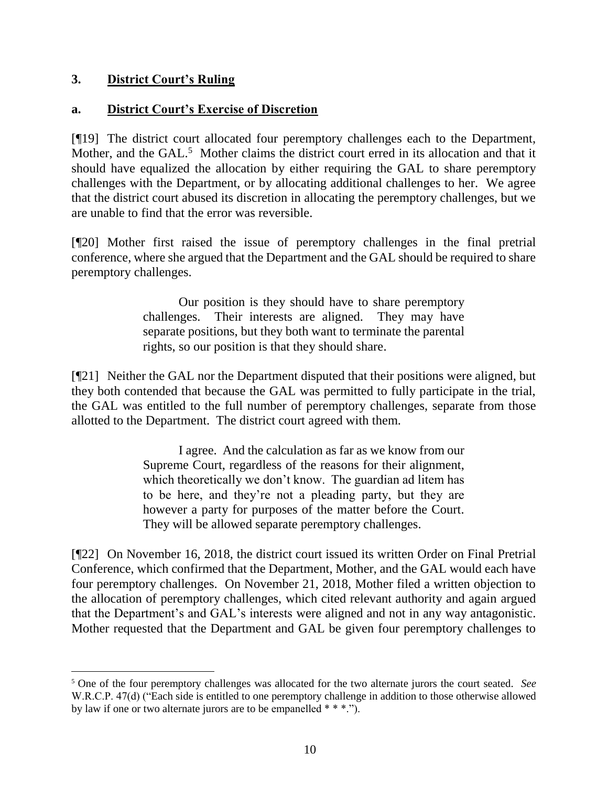# **3. District Court's Ruling**

## **a. District Court's Exercise of Discretion**

[¶19] The district court allocated four peremptory challenges each to the Department, Mother, and the GAL.<sup>5</sup> Mother claims the district court erred in its allocation and that it should have equalized the allocation by either requiring the GAL to share peremptory challenges with the Department, or by allocating additional challenges to her. We agree that the district court abused its discretion in allocating the peremptory challenges, but we are unable to find that the error was reversible.

[¶20] Mother first raised the issue of peremptory challenges in the final pretrial conference, where she argued that the Department and the GAL should be required to share peremptory challenges.

> Our position is they should have to share peremptory challenges. Their interests are aligned. They may have separate positions, but they both want to terminate the parental rights, so our position is that they should share.

[¶21] Neither the GAL nor the Department disputed that their positions were aligned, but they both contended that because the GAL was permitted to fully participate in the trial, the GAL was entitled to the full number of peremptory challenges, separate from those allotted to the Department. The district court agreed with them.

> I agree. And the calculation as far as we know from our Supreme Court, regardless of the reasons for their alignment, which theoretically we don't know. The guardian ad litem has to be here, and they're not a pleading party, but they are however a party for purposes of the matter before the Court. They will be allowed separate peremptory challenges.

[¶22] On November 16, 2018, the district court issued its written Order on Final Pretrial Conference, which confirmed that the Department, Mother, and the GAL would each have four peremptory challenges. On November 21, 2018, Mother filed a written objection to the allocation of peremptory challenges, which cited relevant authority and again argued that the Department's and GAL's interests were aligned and not in any way antagonistic. Mother requested that the Department and GAL be given four peremptory challenges to

<sup>5</sup> One of the four peremptory challenges was allocated for the two alternate jurors the court seated. *See* W.R.C.P. 47(d) ("Each side is entitled to one peremptory challenge in addition to those otherwise allowed by law if one or two alternate jurors are to be empanelled \* \* \*.").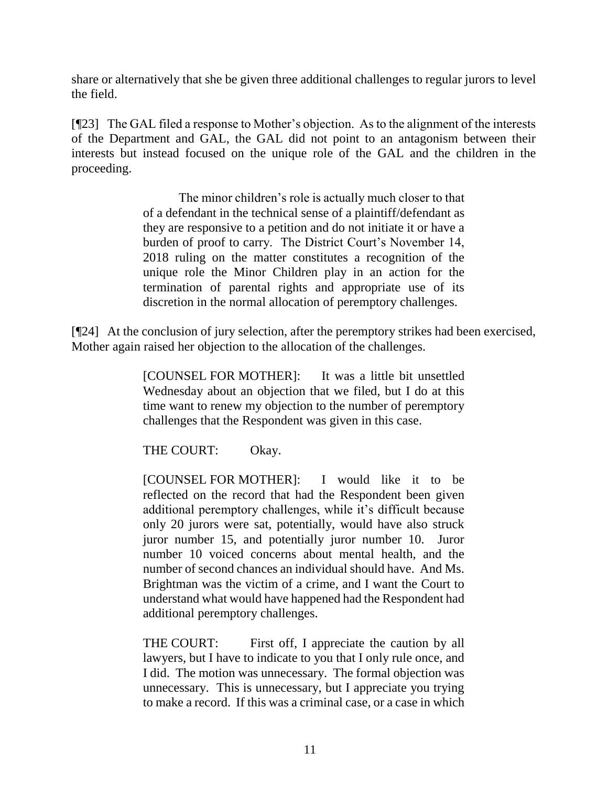share or alternatively that she be given three additional challenges to regular jurors to level the field.

[¶23] The GAL filed a response to Mother's objection. As to the alignment of the interests of the Department and GAL, the GAL did not point to an antagonism between their interests but instead focused on the unique role of the GAL and the children in the proceeding.

> The minor children's role is actually much closer to that of a defendant in the technical sense of a plaintiff/defendant as they are responsive to a petition and do not initiate it or have a burden of proof to carry. The District Court's November 14, 2018 ruling on the matter constitutes a recognition of the unique role the Minor Children play in an action for the termination of parental rights and appropriate use of its discretion in the normal allocation of peremptory challenges.

[¶24] At the conclusion of jury selection, after the peremptory strikes had been exercised, Mother again raised her objection to the allocation of the challenges.

> [COUNSEL FOR MOTHER]: It was a little bit unsettled Wednesday about an objection that we filed, but I do at this time want to renew my objection to the number of peremptory challenges that the Respondent was given in this case.

THE COURT: Okay.

[COUNSEL FOR MOTHER]: I would like it to be reflected on the record that had the Respondent been given additional peremptory challenges, while it's difficult because only 20 jurors were sat, potentially, would have also struck juror number 15, and potentially juror number 10. Juror number 10 voiced concerns about mental health, and the number of second chances an individual should have. And Ms. Brightman was the victim of a crime, and I want the Court to understand what would have happened had the Respondent had additional peremptory challenges.

THE COURT: First off, I appreciate the caution by all lawyers, but I have to indicate to you that I only rule once, and I did. The motion was unnecessary. The formal objection was unnecessary. This is unnecessary, but I appreciate you trying to make a record. If this was a criminal case, or a case in which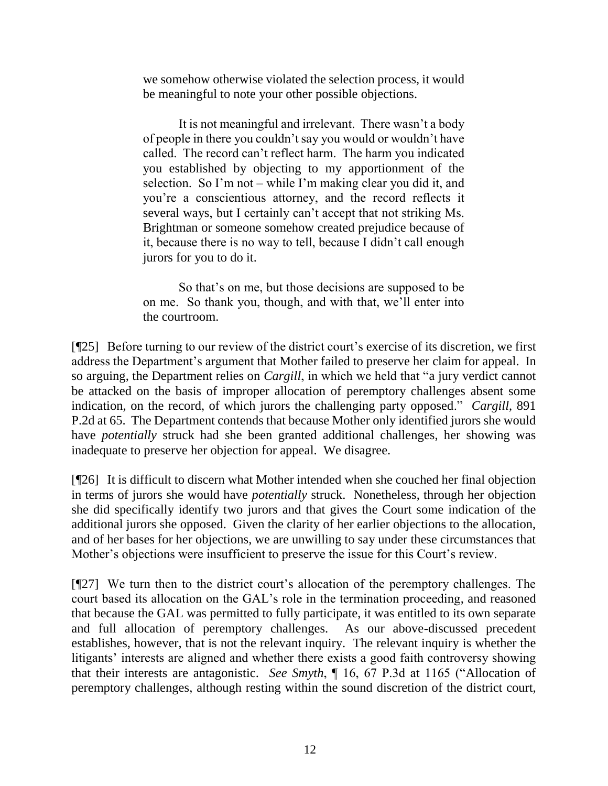we somehow otherwise violated the selection process, it would be meaningful to note your other possible objections.

It is not meaningful and irrelevant. There wasn't a body of people in there you couldn't say you would or wouldn't have called. The record can't reflect harm. The harm you indicated you established by objecting to my apportionment of the selection. So I'm not – while I'm making clear you did it, and you're a conscientious attorney, and the record reflects it several ways, but I certainly can't accept that not striking Ms. Brightman or someone somehow created prejudice because of it, because there is no way to tell, because I didn't call enough jurors for you to do it.

So that's on me, but those decisions are supposed to be on me. So thank you, though, and with that, we'll enter into the courtroom.

[¶25] Before turning to our review of the district court's exercise of its discretion, we first address the Department's argument that Mother failed to preserve her claim for appeal. In so arguing, the Department relies on *Cargill*, in which we held that "a jury verdict cannot be attacked on the basis of improper allocation of peremptory challenges absent some indication, on the record, of which jurors the challenging party opposed." *Cargill*, 891 P.2d at 65. The Department contends that because Mother only identified jurors she would have *potentially* struck had she been granted additional challenges, her showing was inadequate to preserve her objection for appeal. We disagree.

[¶26] It is difficult to discern what Mother intended when she couched her final objection in terms of jurors she would have *potentially* struck. Nonetheless, through her objection she did specifically identify two jurors and that gives the Court some indication of the additional jurors she opposed. Given the clarity of her earlier objections to the allocation, and of her bases for her objections, we are unwilling to say under these circumstances that Mother's objections were insufficient to preserve the issue for this Court's review.

[¶27] We turn then to the district court's allocation of the peremptory challenges. The court based its allocation on the GAL's role in the termination proceeding, and reasoned that because the GAL was permitted to fully participate, it was entitled to its own separate and full allocation of peremptory challenges. As our above-discussed precedent establishes, however, that is not the relevant inquiry. The relevant inquiry is whether the litigants' interests are aligned and whether there exists a good faith controversy showing that their interests are antagonistic. *See Smyth*, ¶ 16, 67 P.3d at 1165 ("Allocation of peremptory challenges, although resting within the sound discretion of the district court,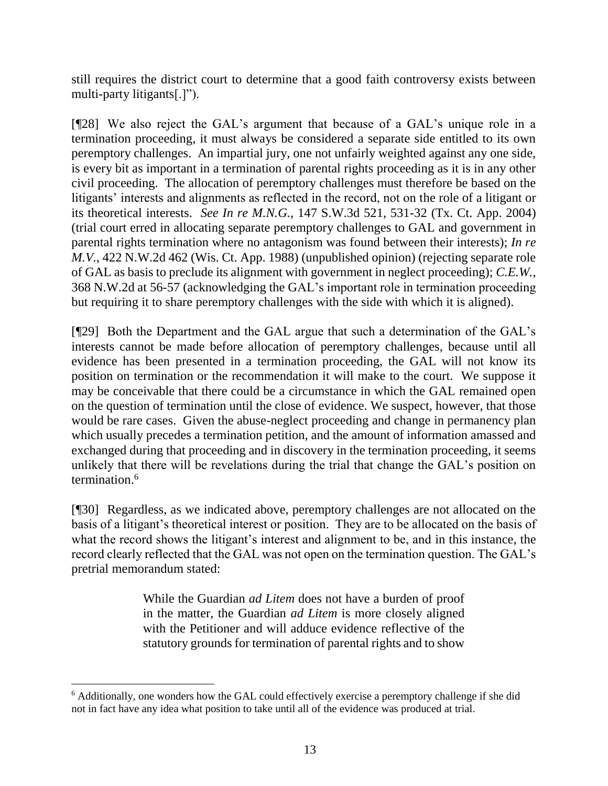still requires the district court to determine that a good faith controversy exists between multi-party litigants[.]").

[¶28] We also reject the GAL's argument that because of a GAL's unique role in a termination proceeding, it must always be considered a separate side entitled to its own peremptory challenges. An impartial jury, one not unfairly weighted against any one side, is every bit as important in a termination of parental rights proceeding as it is in any other civil proceeding. The allocation of peremptory challenges must therefore be based on the litigants' interests and alignments as reflected in the record, not on the role of a litigant or its theoretical interests. *See In re M.N.G.*, 147 S.W.3d 521, 531-32 (Tx. Ct. App. 2004) (trial court erred in allocating separate peremptory challenges to GAL and government in parental rights termination where no antagonism was found between their interests); *In re M.V.*, 422 N.W.2d 462 (Wis. Ct. App. 1988) (unpublished opinion) (rejecting separate role of GAL as basis to preclude its alignment with government in neglect proceeding); *C.E.W.*, 368 N.W.2d at 56-57 (acknowledging the GAL's important role in termination proceeding but requiring it to share peremptory challenges with the side with which it is aligned).

[¶29] Both the Department and the GAL argue that such a determination of the GAL's interests cannot be made before allocation of peremptory challenges, because until all evidence has been presented in a termination proceeding, the GAL will not know its position on termination or the recommendation it will make to the court. We suppose it may be conceivable that there could be a circumstance in which the GAL remained open on the question of termination until the close of evidence. We suspect, however, that those would be rare cases. Given the abuse-neglect proceeding and change in permanency plan which usually precedes a termination petition, and the amount of information amassed and exchanged during that proceeding and in discovery in the termination proceeding, it seems unlikely that there will be revelations during the trial that change the GAL's position on termination. 6

[¶30] Regardless, as we indicated above, peremptory challenges are not allocated on the basis of a litigant's theoretical interest or position. They are to be allocated on the basis of what the record shows the litigant's interest and alignment to be, and in this instance, the record clearly reflected that the GAL was not open on the termination question. The GAL's pretrial memorandum stated:

> While the Guardian *ad Litem* does not have a burden of proof in the matter, the Guardian *ad Litem* is more closely aligned with the Petitioner and will adduce evidence reflective of the statutory grounds for termination of parental rights and to show

l

<sup>6</sup> Additionally, one wonders how the GAL could effectively exercise a peremptory challenge if she did not in fact have any idea what position to take until all of the evidence was produced at trial.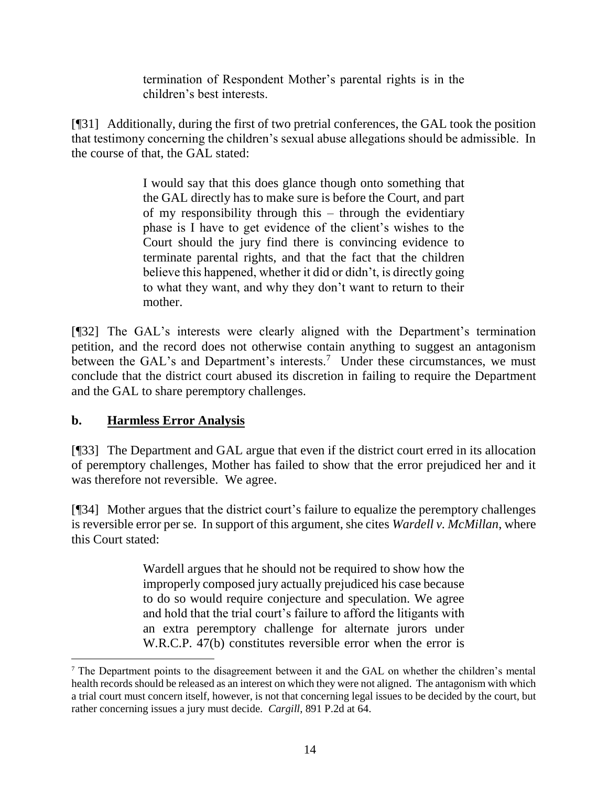termination of Respondent Mother's parental rights is in the children's best interests.

[¶31] Additionally, during the first of two pretrial conferences, the GAL took the position that testimony concerning the children's sexual abuse allegations should be admissible. In the course of that, the GAL stated:

> I would say that this does glance though onto something that the GAL directly has to make sure is before the Court, and part of my responsibility through this – through the evidentiary phase is I have to get evidence of the client's wishes to the Court should the jury find there is convincing evidence to terminate parental rights, and that the fact that the children believe this happened, whether it did or didn't, is directly going to what they want, and why they don't want to return to their mother.

[¶32] The GAL's interests were clearly aligned with the Department's termination petition, and the record does not otherwise contain anything to suggest an antagonism between the GAL's and Department's interests.<sup>7</sup> Under these circumstances, we must conclude that the district court abused its discretion in failing to require the Department and the GAL to share peremptory challenges.

# **b. Harmless Error Analysis**

[¶33] The Department and GAL argue that even if the district court erred in its allocation of peremptory challenges, Mother has failed to show that the error prejudiced her and it was therefore not reversible. We agree.

[¶34] Mother argues that the district court's failure to equalize the peremptory challenges is reversible error per se. In support of this argument, she cites *Wardell v. McMillan*, where this Court stated:

> Wardell argues that he should not be required to show how the improperly composed jury actually prejudiced his case because to do so would require conjecture and speculation. We agree and hold that the trial court's failure to afford the litigants with an extra peremptory challenge for alternate jurors under [W.R.C.P. 47\(b\)](http://www.westlaw.com/Link/Document/FullText?findType=L&pubNum=1008760&cite=WYRRCPR47&originatingDoc=I180effc8f5a711d9bf60c1d57ebc853e&refType=LQ&originationContext=document&vr=3.0&rs=cblt1.0&transitionType=DocumentItem&contextData=(sc.Keycite)) constitutes reversible error when the error is

<sup>&</sup>lt;sup>7</sup> The Department points to the disagreement between it and the GAL on whether the children's mental health records should be released as an interest on which they were not aligned. The antagonism with which a trial court must concern itself, however, is not that concerning legal issues to be decided by the court, but rather concerning issues a jury must decide. *Cargill*, 891 P.2d at 64.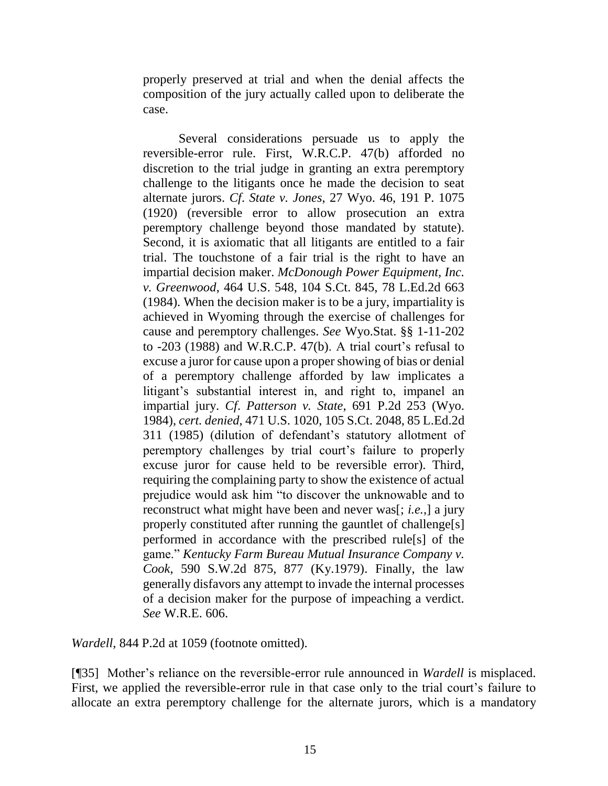properly preserved at trial and when the denial affects the composition of the jury actually called upon to deliberate the case.

Several considerations persuade us to apply the reversible-error rule. First, [W.R.C.P. 47\(b\)](http://www.westlaw.com/Link/Document/FullText?findType=L&pubNum=1008760&cite=WYRRCPR47&originatingDoc=I180effc8f5a711d9bf60c1d57ebc853e&refType=LQ&originationContext=document&vr=3.0&rs=cblt1.0&transitionType=DocumentItem&contextData=(sc.Keycite)) afforded no discretion to the trial judge in granting an extra peremptory challenge to the litigants once he made the decision to seat alternate jurors. *Cf*. *State v. Jones*[, 27 Wyo. 46, 191 P. 1075](http://www.westlaw.com/Link/Document/FullText?findType=Y&serNum=1920156761&pubNum=0000660&originatingDoc=I180effc8f5a711d9bf60c1d57ebc853e&refType=RP&originationContext=document&vr=3.0&rs=cblt1.0&transitionType=DocumentItem&contextData=(sc.Keycite))  [\(1920\)](http://www.westlaw.com/Link/Document/FullText?findType=Y&serNum=1920156761&pubNum=0000660&originatingDoc=I180effc8f5a711d9bf60c1d57ebc853e&refType=RP&originationContext=document&vr=3.0&rs=cblt1.0&transitionType=DocumentItem&contextData=(sc.Keycite)) (reversible error to allow prosecution an extra peremptory challenge beyond those mandated by statute). Second, it is axiomatic that all litigants are entitled to a fair trial. The touchstone of a fair trial is the right to have an impartial decision maker. *[McDonough Power Equipment, Inc.](http://www.westlaw.com/Link/Document/FullText?findType=Y&serNum=1984103131&pubNum=0000708&originatingDoc=I180effc8f5a711d9bf60c1d57ebc853e&refType=RP&originationContext=document&vr=3.0&rs=cblt1.0&transitionType=DocumentItem&contextData=(sc.Keycite))  v. Greenwood*[, 464 U.S. 548, 104 S.Ct. 845, 78 L.Ed.2d 663](http://www.westlaw.com/Link/Document/FullText?findType=Y&serNum=1984103131&pubNum=0000708&originatingDoc=I180effc8f5a711d9bf60c1d57ebc853e&refType=RP&originationContext=document&vr=3.0&rs=cblt1.0&transitionType=DocumentItem&contextData=(sc.Keycite))  [\(1984\).](http://www.westlaw.com/Link/Document/FullText?findType=Y&serNum=1984103131&pubNum=0000708&originatingDoc=I180effc8f5a711d9bf60c1d57ebc853e&refType=RP&originationContext=document&vr=3.0&rs=cblt1.0&transitionType=DocumentItem&contextData=(sc.Keycite)) When the decision maker is to be a jury, impartiality is achieved in Wyoming through the exercise of challenges for cause and peremptory challenges. *See* [Wyo.Stat. §§ 1-11-202](http://www.westlaw.com/Link/Document/FullText?findType=L&pubNum=1000377&cite=WYSTS1-11-202&originatingDoc=I180effc8f5a711d9bf60c1d57ebc853e&refType=LQ&originationContext=document&vr=3.0&rs=cblt1.0&transitionType=DocumentItem&contextData=(sc.Keycite)) to -203 (1988) and [W.R.C.P. 47\(b\).](http://www.westlaw.com/Link/Document/FullText?findType=L&pubNum=1008760&cite=WYRRCPR47&originatingDoc=I180effc8f5a711d9bf60c1d57ebc853e&refType=LQ&originationContext=document&vr=3.0&rs=cblt1.0&transitionType=DocumentItem&contextData=(sc.Keycite)) A trial court's refusal to excuse a juror for cause upon a proper showing of bias or denial of a peremptory challenge afforded by law implicates a litigant's substantial interest in, and right to, impanel an impartial jury. *Cf*. *Patterson v. State*[, 691 P.2d 253 \(Wyo.](http://www.westlaw.com/Link/Document/FullText?findType=Y&serNum=1984156955&pubNum=0000661&originatingDoc=I180effc8f5a711d9bf60c1d57ebc853e&refType=RP&originationContext=document&vr=3.0&rs=cblt1.0&transitionType=DocumentItem&contextData=(sc.Keycite)) [1984\),](http://www.westlaw.com/Link/Document/FullText?findType=Y&serNum=1984156955&pubNum=0000661&originatingDoc=I180effc8f5a711d9bf60c1d57ebc853e&refType=RP&originationContext=document&vr=3.0&rs=cblt1.0&transitionType=DocumentItem&contextData=(sc.Keycite)) *cert. denied*, [471 U.S. 1020, 105 S.Ct. 2048, 85 L.Ed.2d](http://www.westlaw.com/Link/Document/FullText?findType=Y&serNum=1985219882&pubNum=0000708&originatingDoc=I180effc8f5a711d9bf60c1d57ebc853e&refType=RP&originationContext=document&vr=3.0&rs=cblt1.0&transitionType=DocumentItem&contextData=(sc.Keycite))  [311 \(1985\)](http://www.westlaw.com/Link/Document/FullText?findType=Y&serNum=1985219882&pubNum=0000708&originatingDoc=I180effc8f5a711d9bf60c1d57ebc853e&refType=RP&originationContext=document&vr=3.0&rs=cblt1.0&transitionType=DocumentItem&contextData=(sc.Keycite)) (dilution of defendant's statutory allotment of peremptory challenges by trial court's failure to properly excuse juror for cause held to be reversible error). Third, requiring the complaining party to show the existence of actual prejudice would ask him "to discover the unknowable and to reconstruct what might have been and never was[; *i.e.*,] a jury properly constituted after running the gauntlet of challenge[s] performed in accordance with the prescribed rule[s] of the game." *[Kentucky Farm Bureau Mutual Insurance Company v.](http://www.westlaw.com/Link/Document/FullText?findType=Y&serNum=1979138899&pubNum=0000713&originatingDoc=I180effc8f5a711d9bf60c1d57ebc853e&refType=RP&fi=co_pp_sp_713_877&originationContext=document&vr=3.0&rs=cblt1.0&transitionType=DocumentItem&contextData=(sc.Keycite)#co_pp_sp_713_877)  Cook*[, 590 S.W.2d 875, 877 \(Ky.1979\).](http://www.westlaw.com/Link/Document/FullText?findType=Y&serNum=1979138899&pubNum=0000713&originatingDoc=I180effc8f5a711d9bf60c1d57ebc853e&refType=RP&fi=co_pp_sp_713_877&originationContext=document&vr=3.0&rs=cblt1.0&transitionType=DocumentItem&contextData=(sc.Keycite)#co_pp_sp_713_877) Finally, the law generally disfavors any attempt to invade the internal processes of a decision maker for the purpose of impeaching a verdict. *See* [W.R.E. 606.](http://www.westlaw.com/Link/Document/FullText?findType=L&pubNum=1008789&cite=WYRREVR606&originatingDoc=I180effc8f5a711d9bf60c1d57ebc853e&refType=LQ&originationContext=document&vr=3.0&rs=cblt1.0&transitionType=DocumentItem&contextData=(sc.Keycite))

*Wardell*, 844 P.2d at 1059 (footnote omitted).

[¶35] Mother's reliance on the reversible-error rule announced in *Wardell* is misplaced. First, we applied the reversible-error rule in that case only to the trial court's failure to allocate an extra peremptory challenge for the alternate jurors, which is a mandatory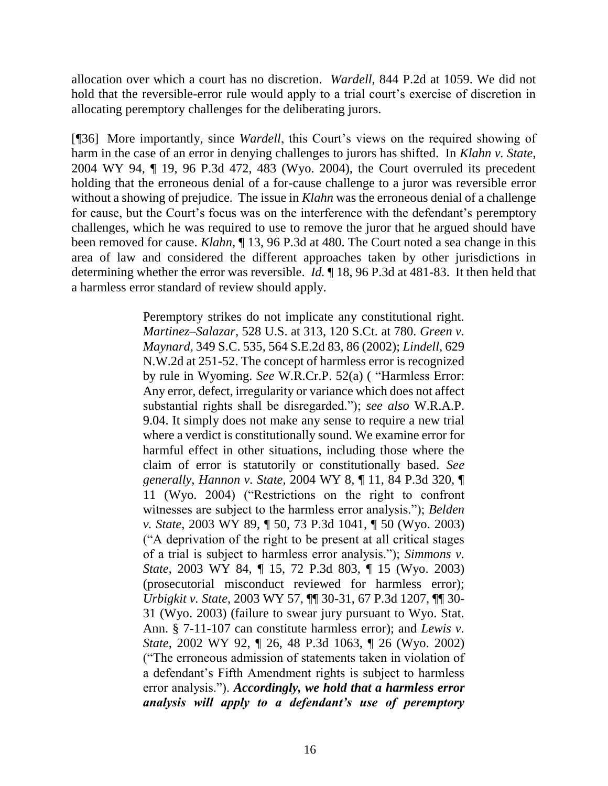allocation over which a court has no discretion. *Wardell*, 844 P.2d at 1059. We did not hold that the reversible-error rule would apply to a trial court's exercise of discretion in allocating peremptory challenges for the deliberating jurors.

[¶36] More importantly, since *Wardell*, this Court's views on the required showing of harm in the case of an error in denying challenges to jurors has shifted. In *Klahn v. State*, 2004 WY 94, ¶ 19, 96 P.3d 472, 483 (Wyo. 2004), the Court overruled its precedent holding that the erroneous denial of a for-cause challenge to a juror was reversible error without a showing of prejudice. The issue in *Klahn* was the erroneous denial of a challenge for cause, but the Court's focus was on the interference with the defendant's peremptory challenges, which he was required to use to remove the juror that he argued should have been removed for cause. *Klahn*, ¶ 13, 96 P.3d at 480. The Court noted a sea change in this area of law and considered the different approaches taken by other jurisdictions in determining whether the error was reversible. *Id.* ¶ 18, 96 P.3d at 481-83. It then held that a harmless error standard of review should apply.

> Peremptory strikes do not implicate any constitutional right. *Martinez–Salazar*, 528 U.S. at 313, 120 S.Ct. at 780. *[Green v.](http://www.westlaw.com/Link/Document/FullText?findType=Y&serNum=2002286255&pubNum=711&originatingDoc=I01f43241f79c11d983e7e9deff98dc6f&refType=RP&fi=co_pp_sp_711_86&originationContext=document&vr=3.0&rs=cblt1.0&transitionType=DocumentItem&contextData=(sc.Search)#co_pp_sp_711_86)  Maynard*[, 349 S.C. 535, 564 S.E.2d 83, 86 \(2002\);](http://www.westlaw.com/Link/Document/FullText?findType=Y&serNum=2002286255&pubNum=711&originatingDoc=I01f43241f79c11d983e7e9deff98dc6f&refType=RP&fi=co_pp_sp_711_86&originationContext=document&vr=3.0&rs=cblt1.0&transitionType=DocumentItem&contextData=(sc.Search)#co_pp_sp_711_86) *Lindell*, 629 N.W.2d at 251-52. The concept of harmless error is recognized by rule in Wyoming. *See* W.R.Cr.P. 52(a) ( "Harmless Error: Any error, defect, irregularity or variance which does not affect substantial rights shall be disregarded."); *see also* W.R.A.P. 9.04. It simply does not make any sense to require a new trial where a verdict is constitutionally sound. We examine error for harmful effect in other situations, including those where the claim of error is statutorily or constitutionally based. *See generally*, *Hannon v. State*, 2004 WY 8, ¶ 11, 84 P.3d 320, ¶ 11 (Wyo. 2004) ("Restrictions on the right to confront witnesses are subject to the harmless error analysis."); *Belden v. State*, 2003 WY 89, ¶ 50, 73 P.3d 1041, ¶ 50 (Wyo. 2003) ("A deprivation of the right to be present at all critical stages of a trial is subject to harmless error analysis."); *Simmons v. State*, 2003 WY 84, ¶ 15, 72 P.3d 803, ¶ 15 (Wyo. 2003) (prosecutorial misconduct reviewed for harmless error); *Urbigkit v. State*, 2003 WY 57, ¶¶ 30-31, 67 P.3d 1207, ¶¶ 30- 31 (Wyo. 2003) (failure to swear jury pursuant to Wyo. Stat. Ann. § 7-11-107 can constitute harmless error); and *Lewis v. State*, 2002 WY 92, ¶ 26, 48 P.3d 1063, ¶ 26 (Wyo. 2002) ("The erroneous admission of statements taken in violation of a defendant's Fifth Amendment rights is subject to harmless error analysis."). *Accordingly, we hold that a harmless error analysis will apply to a defendant's use of peremptory*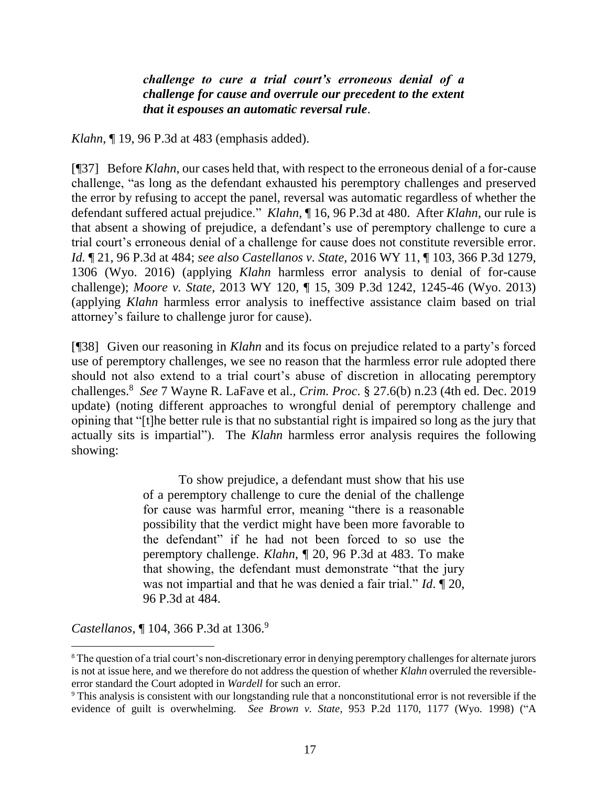*challenge to cure a trial court's erroneous denial of a challenge for cause and overrule our precedent to the extent that it espouses an automatic reversal rule*.

*Klahn*, ¶ 19, 96 P.3d at 483 (emphasis added).

[¶37] Before *Klahn*, our cases held that, with respect to the erroneous denial of a for-cause challenge, "as long as the defendant exhausted his peremptory challenges and preserved the error by refusing to accept the panel, reversal was automatic regardless of whether the defendant suffered actual prejudice." *Klahn*, ¶ 16, 96 P.3d at 480. After *Klahn*, our rule is that absent a showing of prejudice, a defendant's use of peremptory challenge to cure a trial court's erroneous denial of a challenge for cause does not constitute reversible error. *Id.* ¶ 21, 96 P.3d at 484; *see also Castellanos v. State*, 2016 WY 11, ¶ 103, 366 P.3d 1279, 1306 (Wyo. 2016) (applying *Klahn* harmless error analysis to denial of for-cause challenge); *Moore v. State*, 2013 WY 120, ¶ 15, 309 P.3d 1242, 1245-46 (Wyo. 2013) (applying *Klahn* harmless error analysis to ineffective assistance claim based on trial attorney's failure to challenge juror for cause).

[¶38] Given our reasoning in *Klahn* and its focus on prejudice related to a party's forced use of peremptory challenges, we see no reason that the harmless error rule adopted there should not also extend to a trial court's abuse of discretion in allocating peremptory challenges.<sup>8</sup> *See* 7 Wayne R. LaFave et al., *Crim. Proc*. § 27.6(b) n.23 (4th ed. Dec. 2019 update) (noting different approaches to wrongful denial of peremptory challenge and opining that "[t]he better rule is that no substantial right is impaired so long as the jury that actually sits is impartial"). The *Klahn* harmless error analysis requires the following showing:

> To show prejudice, a defendant must show that his use of a peremptory challenge to cure the denial of the challenge for cause was harmful error, meaning "there is a reasonable possibility that the verdict might have been more favorable to the defendant" if he had not been forced to so use the peremptory challenge. *Klahn*[, ¶ 20, 96 P.3d at 483.](http://www.westlaw.com/Link/Document/FullText?findType=Y&serNum=2004882804&pubNum=0004645&originatingDoc=Iab85459bc4cf11e5a807ad48145ed9f1&refType=RP&fi=co_pp_sp_4645_483&originationContext=document&vr=3.0&rs=cblt1.0&transitionType=DocumentItem&contextData=(sc.Keycite)#co_pp_sp_4645_483) To make that showing, the defendant must demonstrate "that the jury was not impartial and that he was denied a fair trial." *Id*[. ¶ 20,](http://www.westlaw.com/Link/Document/FullText?findType=Y&serNum=2004882804&pubNum=0004645&originatingDoc=Iab85459bc4cf11e5a807ad48145ed9f1&refType=RP&fi=co_pp_sp_4645_484&originationContext=document&vr=3.0&rs=cblt1.0&transitionType=DocumentItem&contextData=(sc.Keycite)#co_pp_sp_4645_484)  [96 P.3d at 484.](http://www.westlaw.com/Link/Document/FullText?findType=Y&serNum=2004882804&pubNum=0004645&originatingDoc=Iab85459bc4cf11e5a807ad48145ed9f1&refType=RP&fi=co_pp_sp_4645_484&originationContext=document&vr=3.0&rs=cblt1.0&transitionType=DocumentItem&contextData=(sc.Keycite)#co_pp_sp_4645_484)

*Castellanos*, ¶ 104, 366 P.3d at 1306. 9

<sup>8</sup> The question of a trial court's non-discretionary error in denying peremptory challenges for alternate jurors is not at issue here, and we therefore do not address the question of whether *Klahn* overruled the reversibleerror standard the Court adopted in *Wardell* for such an error.

<sup>9</sup> This analysis is consistent with our longstanding rule that a nonconstitutional error is not reversible if the evidence of guilt is overwhelming. *See Brown v. State*, 953 P.2d 1170, 1177 (Wyo. 1998) ("A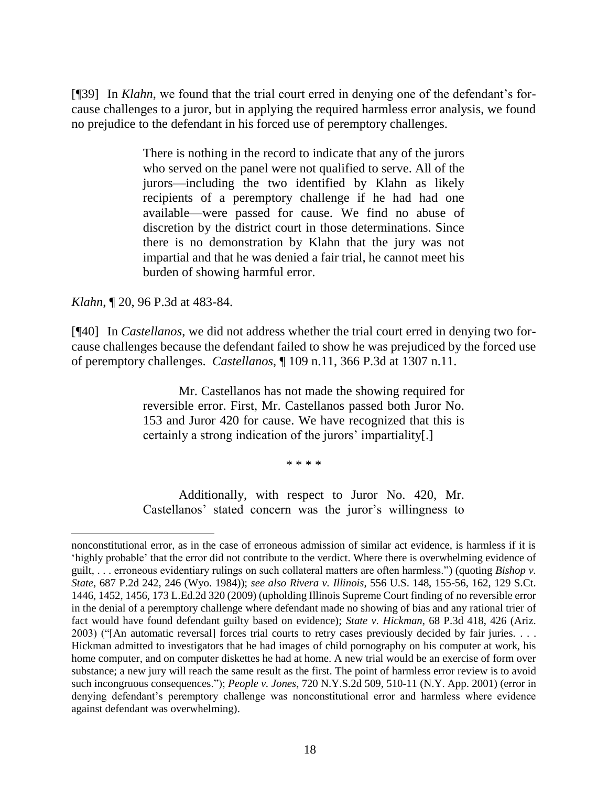[¶39] In *Klahn*, we found that the trial court erred in denying one of the defendant's forcause challenges to a juror, but in applying the required harmless error analysis, we found no prejudice to the defendant in his forced use of peremptory challenges.

> There is nothing in the record to indicate that any of the jurors who served on the panel were not qualified to serve. All of the jurors—including the two identified by Klahn as likely recipients of a peremptory challenge if he had had one available—were passed for cause. We find no abuse of discretion by the district court in those determinations. Since there is no demonstration by Klahn that the jury was not impartial and that he was denied a fair trial, he cannot meet his burden of showing harmful error.

*Klahn*, ¶ 20, 96 P.3d at 483-84.

 $\overline{a}$ 

[¶40] In *Castellanos*, we did not address whether the trial court erred in denying two forcause challenges because the defendant failed to show he was prejudiced by the forced use of peremptory challenges. *Castellanos*, ¶ 109 n.11, 366 P.3d at 1307 n.11.

> Mr. Castellanos has not made the showing required for reversible error. First, Mr. Castellanos passed both Juror No. 153 and Juror 420 for cause. We have recognized that this is certainly a strong indication of the jurors' impartiality[.]

> > \* \* \* \*

Additionally, with respect to Juror No. 420, Mr. Castellanos' stated concern was the juror's willingness to

nonconstitutional error, as in the case of erroneous admission of similar act evidence, is harmless if it is 'highly probable' that the error did not contribute to the verdict. Where there is overwhelming evidence of guilt, . . . erroneous evidentiary rulings on such collateral matters are often harmless.") (quoting *Bishop v. State*, 687 P.2d 242, 246 (Wyo. 1984)); *see also Rivera v. Illinois*, 556 U.S. 148, 155-56, 162, 129 S.Ct. 1446, 1452, 1456, 173 L.Ed.2d 320 (2009) (upholding Illinois Supreme Court finding of no reversible error in the denial of a peremptory challenge where defendant made no showing of bias and any rational trier of fact would have found defendant guilty based on evidence); *State v. Hickman*, 68 P.3d 418, 426 (Ariz. 2003) ("[An automatic reversal] forces trial courts to retry cases previously decided by fair juries. . . . Hickman admitted to investigators that he had images of child pornography on his computer at work, his home computer, and on computer diskettes he had at home. A new trial would be an exercise of form over substance; a new jury will reach the same result as the first. The point of harmless error review is to avoid such incongruous consequences."); *People v. Jones*, 720 N.Y.S.2d 509, 510-11 (N.Y. App. 2001) (error in denying defendant's peremptory challenge was nonconstitutional error and harmless where evidence against defendant was overwhelming).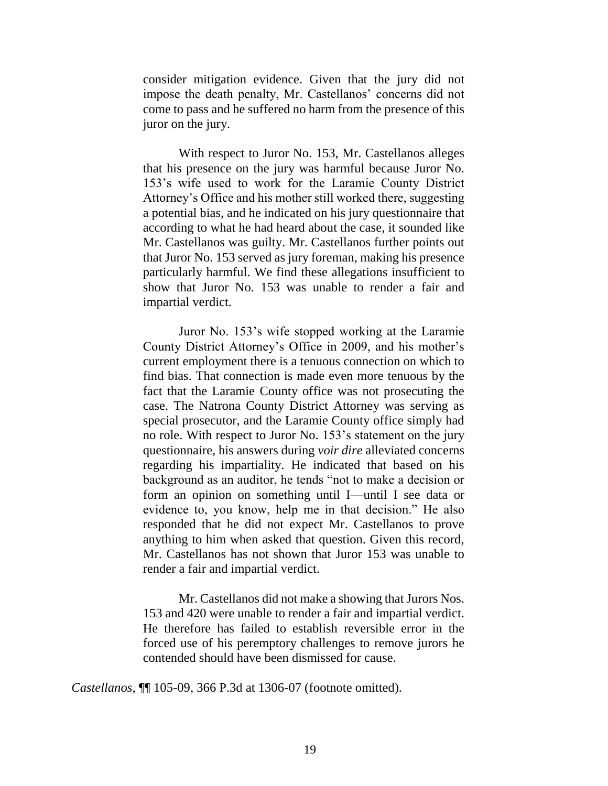consider mitigation evidence. Given that the jury did not impose the death penalty, Mr. Castellanos' concerns did not come to pass and he suffered no harm from the presence of this juror on the jury.

With respect to Juror No. 153, Mr. Castellanos alleges that his presence on the jury was harmful because Juror No. 153's wife used to work for the Laramie County District Attorney's Office and his mother still worked there, suggesting a potential bias, and he indicated on his jury questionnaire that according to what he had heard about the case, it sounded like Mr. Castellanos was guilty. Mr. Castellanos further points out that Juror No. 153 served as jury foreman, making his presence particularly harmful. We find these allegations insufficient to show that Juror No. 153 was unable to render a fair and impartial verdict.

Juror No. 153's wife stopped working at the Laramie County District Attorney's Office in 2009, and his mother's current employment there is a tenuous connection on which to find bias. That connection is made even more tenuous by the fact that the Laramie County office was not prosecuting the case. The Natrona County District Attorney was serving as special prosecutor, and the Laramie County office simply had no role. With respect to Juror No. 153's statement on the jury questionnaire, his answers during *voir dire* alleviated concerns regarding his impartiality. He indicated that based on his background as an auditor, he tends "not to make a decision or form an opinion on something until I—until I see data or evidence to, you know, help me in that decision." He also responded that he did not expect Mr. Castellanos to prove anything to him when asked that question. Given this record, Mr. Castellanos has not shown that Juror 153 was unable to render a fair and impartial verdict.

Mr. Castellanos did not make a showing that Jurors Nos. 153 and 420 were unable to render a fair and impartial verdict. He therefore has failed to establish reversible error in the forced use of his peremptory challenges to remove jurors he contended should have been dismissed for cause.

*Castellanos*, ¶¶ 105-09, 366 P.3d at 1306-07 (footnote omitted).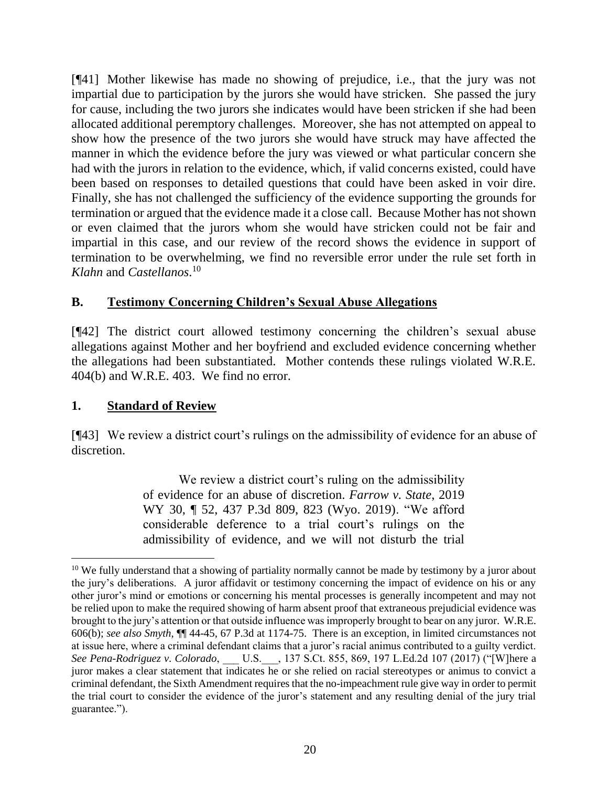[¶41] Mother likewise has made no showing of prejudice, i.e., that the jury was not impartial due to participation by the jurors she would have stricken. She passed the jury for cause, including the two jurors she indicates would have been stricken if she had been allocated additional peremptory challenges. Moreover, she has not attempted on appeal to show how the presence of the two jurors she would have struck may have affected the manner in which the evidence before the jury was viewed or what particular concern she had with the jurors in relation to the evidence, which, if valid concerns existed, could have been based on responses to detailed questions that could have been asked in voir dire. Finally, she has not challenged the sufficiency of the evidence supporting the grounds for termination or argued that the evidence made it a close call. Because Mother has not shown or even claimed that the jurors whom she would have stricken could not be fair and impartial in this case, and our review of the record shows the evidence in support of termination to be overwhelming, we find no reversible error under the rule set forth in *Klahn* and *Castellanos*. 10

# **B. Testimony Concerning Children's Sexual Abuse Allegations**

[¶42] The district court allowed testimony concerning the children's sexual abuse allegations against Mother and her boyfriend and excluded evidence concerning whether the allegations had been substantiated. Mother contends these rulings violated W.R.E. 404(b) and W.R.E. 403. We find no error.

# **1. Standard of Review**

[¶43] We review a district court's rulings on the admissibility of evidence for an abuse of discretion.

> We review a district court's ruling on the admissibility of evidence for an abuse of discretion. *[Farrow v. State](http://www.westlaw.com/Link/Document/FullText?findType=Y&serNum=2047801951&pubNum=0004645&originatingDoc=I38542ca0778f11e98eaef725d418138a&refType=RP&fi=co_pp_sp_4645_823&originationContext=document&vr=3.0&rs=cblt1.0&transitionType=DocumentItem&contextData=(sc.Search)#co_pp_sp_4645_823)*, 2019 [WY 30, ¶ 52, 437 P.3d 809, 823 \(Wyo. 2019\).](http://www.westlaw.com/Link/Document/FullText?findType=Y&serNum=2047801951&pubNum=0004645&originatingDoc=I38542ca0778f11e98eaef725d418138a&refType=RP&fi=co_pp_sp_4645_823&originationContext=document&vr=3.0&rs=cblt1.0&transitionType=DocumentItem&contextData=(sc.Search)#co_pp_sp_4645_823) "We afford considerable deference to a trial court's rulings on the admissibility of evidence, and we will not disturb the trial

 $10$  We fully understand that a showing of partiality normally cannot be made by testimony by a juror about the jury's deliberations. A juror affidavit or testimony concerning the impact of evidence on his or any other juror's mind or emotions or concerning his mental processes is generally incompetent and may not be relied upon to make the required showing of harm absent proof that extraneous prejudicial evidence was brought to the jury's attention or that outside influence was improperly brought to bear on any juror. W.R.E. 606(b); *see also Smyth*, ¶¶ 44-45, 67 P.3d at 1174-75. There is an exception, in limited circumstances not at issue here, where a criminal defendant claims that a juror's racial animus contributed to a guilty verdict. *See Pena-Rodriguez v. Colorado*, \_\_\_ U.S.\_\_\_, 137 S.Ct. 855, 869, 197 L.Ed.2d 107 (2017) ("[W]here a juror makes a clear statement that indicates he or she relied on racial stereotypes or animus to convict a criminal defendant, the Sixth Amendment requires that the no-impeachment rule give way in order to permit the trial court to consider the evidence of the juror's statement and any resulting denial of the jury trial guarantee.").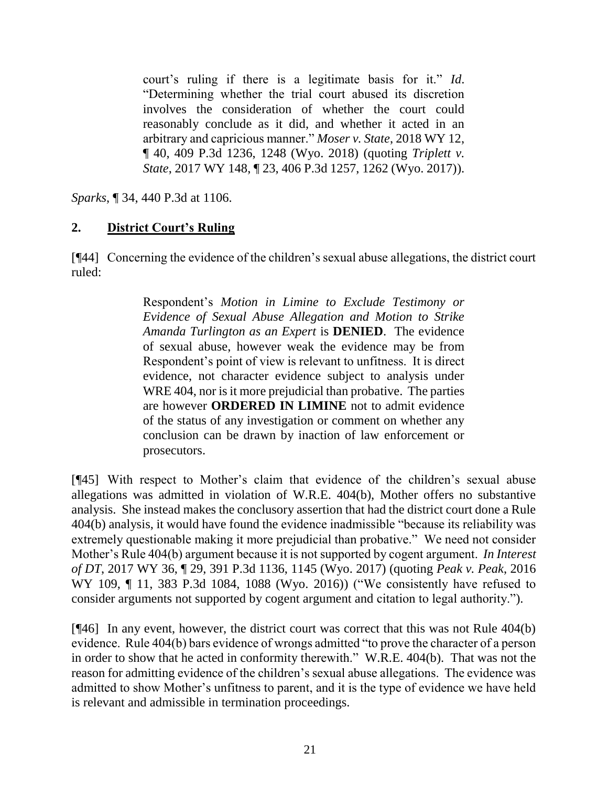court's ruling if there is a legitimate basis for it." *[Id](http://www.westlaw.com/Link/Document/FullText?findType=Y&serNum=2047801951&pubNum=0006431&originatingDoc=I38542ca0778f11e98eaef725d418138a&refType=RP&originationContext=document&vr=3.0&rs=cblt1.0&transitionType=DocumentItem&contextData=(sc.Search))*. "Determining whether the trial court abused its discretion involves the consideration of whether the court could reasonably conclude as it did, and whether it acted in an arbitrary and capricious manner." *Moser v. State*[, 2018 WY 12,](http://www.westlaw.com/Link/Document/FullText?findType=Y&serNum=2043775846&pubNum=0004645&originatingDoc=I38542ca0778f11e98eaef725d418138a&refType=RP&fi=co_pp_sp_4645_1248&originationContext=document&vr=3.0&rs=cblt1.0&transitionType=DocumentItem&contextData=(sc.Search)#co_pp_sp_4645_1248)  [¶ 40, 409 P.3d 1236, 1248 \(Wyo. 2018\)](http://www.westlaw.com/Link/Document/FullText?findType=Y&serNum=2043775846&pubNum=0004645&originatingDoc=I38542ca0778f11e98eaef725d418138a&refType=RP&fi=co_pp_sp_4645_1248&originationContext=document&vr=3.0&rs=cblt1.0&transitionType=DocumentItem&contextData=(sc.Search)#co_pp_sp_4645_1248) (quoting *[Triplett v.](http://www.westlaw.com/Link/Document/FullText?findType=Y&serNum=2043394143&pubNum=0004645&originatingDoc=I38542ca0778f11e98eaef725d418138a&refType=RP&fi=co_pp_sp_4645_1262&originationContext=document&vr=3.0&rs=cblt1.0&transitionType=DocumentItem&contextData=(sc.Search)#co_pp_sp_4645_1262)  State*[, 2017 WY 148, ¶ 23, 406 P.3d 1257, 1262 \(Wyo. 2017\)\)](http://www.westlaw.com/Link/Document/FullText?findType=Y&serNum=2043394143&pubNum=0004645&originatingDoc=I38542ca0778f11e98eaef725d418138a&refType=RP&fi=co_pp_sp_4645_1262&originationContext=document&vr=3.0&rs=cblt1.0&transitionType=DocumentItem&contextData=(sc.Search)#co_pp_sp_4645_1262).

*Sparks*, ¶ 34, 440 P.3d at 1106.

# **2. District Court's Ruling**

[¶44] Concerning the evidence of the children's sexual abuse allegations, the district court ruled:

> Respondent's *Motion in Limine to Exclude Testimony or Evidence of Sexual Abuse Allegation and Motion to Strike Amanda Turlington as an Expert* is **DENIED**. The evidence of sexual abuse, however weak the evidence may be from Respondent's point of view is relevant to unfitness. It is direct evidence, not character evidence subject to analysis under WRE 404, nor is it more prejudicial than probative. The parties are however **ORDERED IN LIMINE** not to admit evidence of the status of any investigation or comment on whether any conclusion can be drawn by inaction of law enforcement or prosecutors.

[¶45] With respect to Mother's claim that evidence of the children's sexual abuse allegations was admitted in violation of W.R.E. 404(b), Mother offers no substantive analysis. She instead makes the conclusory assertion that had the district court done a Rule 404(b) analysis, it would have found the evidence inadmissible "because its reliability was extremely questionable making it more prejudicial than probative." We need not consider Mother's Rule 404(b) argument because it is not supported by cogent argument. *In Interest of DT*, 2017 WY 36, ¶ 29, 391 P.3d 1136, 1145 (Wyo. 2017) (quoting *[Peak v. Peak](http://www.westlaw.com/Link/Document/FullText?findType=Y&serNum=2040329838&pubNum=0004645&originatingDoc=Ie2f1f7701ac411e78e18865f4d27462d&refType=RP&fi=co_pp_sp_4645_1088&originationContext=document&vr=3.0&rs=cblt1.0&transitionType=DocumentItem&contextData=(sc.Search)#co_pp_sp_4645_1088)*, 2016 [WY 109, ¶ 11, 383 P.3d 1084, 1088 \(Wyo. 2016\)\)](http://www.westlaw.com/Link/Document/FullText?findType=Y&serNum=2040329838&pubNum=0004645&originatingDoc=Ie2f1f7701ac411e78e18865f4d27462d&refType=RP&fi=co_pp_sp_4645_1088&originationContext=document&vr=3.0&rs=cblt1.0&transitionType=DocumentItem&contextData=(sc.Search)#co_pp_sp_4645_1088) ("We consistently have refused to consider arguments not supported by cogent argument and citation to legal authority.").

[¶46] In any event, however, the district court was correct that this was not Rule 404(b) evidence. Rule 404(b) bars evidence of wrongs admitted "to prove the character of a person in order to show that he acted in conformity therewith." W.R.E. 404(b). That was not the reason for admitting evidence of the children's sexual abuse allegations. The evidence was admitted to show Mother's unfitness to parent, and it is the type of evidence we have held is relevant and admissible in termination proceedings.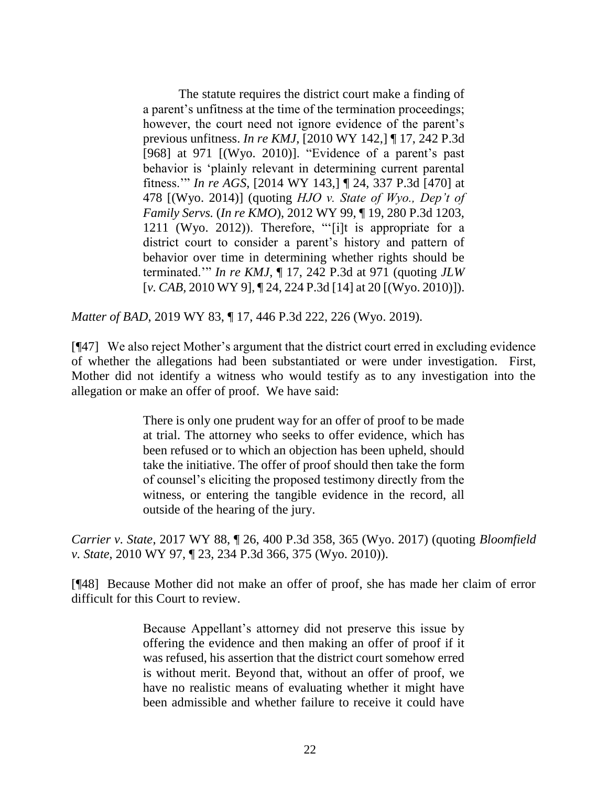The statute requires the district court make a finding of a parent's unfitness at the time of the termination proceedings; however, the court need not ignore evidence of the parent's previous unfitness. *In re KMJ*[, \[2010 WY 142,\] ¶ 17, 242 P.3d](http://www.westlaw.com/Link/Document/FullText?findType=Y&serNum=2023609741&pubNum=0004645&originatingDoc=I9214ee00b99d11e9a85d952fcc023e60&refType=RP&fi=co_pp_sp_4645_971&originationContext=document&vr=3.0&rs=cblt1.0&transitionType=DocumentItem&contextData=(sc.Search)#co_pp_sp_4645_971)  [\[968\] at 971](http://www.westlaw.com/Link/Document/FullText?findType=Y&serNum=2023609741&pubNum=0004645&originatingDoc=I9214ee00b99d11e9a85d952fcc023e60&refType=RP&fi=co_pp_sp_4645_971&originationContext=document&vr=3.0&rs=cblt1.0&transitionType=DocumentItem&contextData=(sc.Search)#co_pp_sp_4645_971) [(Wyo. 2010)]. "Evidence of a parent's past behavior is 'plainly relevant in determining current parental fitness.'" *In re AGS*[, \[2014 WY 143,\] ¶ 24, 337 P.3d \[470\]](http://www.westlaw.com/Link/Document/FullText?findType=Y&serNum=2034751059&pubNum=0004645&originatingDoc=I9214ee00b99d11e9a85d952fcc023e60&refType=RP&fi=co_pp_sp_4645_478&originationContext=document&vr=3.0&rs=cblt1.0&transitionType=DocumentItem&contextData=(sc.Search)#co_pp_sp_4645_478) at [478](http://www.westlaw.com/Link/Document/FullText?findType=Y&serNum=2034751059&pubNum=0004645&originatingDoc=I9214ee00b99d11e9a85d952fcc023e60&refType=RP&fi=co_pp_sp_4645_478&originationContext=document&vr=3.0&rs=cblt1.0&transitionType=DocumentItem&contextData=(sc.Search)#co_pp_sp_4645_478) [(Wyo. 2014)] (quoting *[HJO v. State of Wyo., Dep't of](http://www.westlaw.com/Link/Document/FullText?findType=Y&serNum=2028251700&pubNum=0004645&originatingDoc=I9214ee00b99d11e9a85d952fcc023e60&refType=RP&fi=co_pp_sp_4645_1211&originationContext=document&vr=3.0&rs=cblt1.0&transitionType=DocumentItem&contextData=(sc.Search)#co_pp_sp_4645_1211)  Family Servs.* (*In re KMO*[\), 2012 WY 99, ¶ 19, 280 P.3d 1203,](http://www.westlaw.com/Link/Document/FullText?findType=Y&serNum=2028251700&pubNum=0004645&originatingDoc=I9214ee00b99d11e9a85d952fcc023e60&refType=RP&fi=co_pp_sp_4645_1211&originationContext=document&vr=3.0&rs=cblt1.0&transitionType=DocumentItem&contextData=(sc.Search)#co_pp_sp_4645_1211)  [1211 \(Wyo. 2012\)\)](http://www.westlaw.com/Link/Document/FullText?findType=Y&serNum=2028251700&pubNum=0004645&originatingDoc=I9214ee00b99d11e9a85d952fcc023e60&refType=RP&fi=co_pp_sp_4645_1211&originationContext=document&vr=3.0&rs=cblt1.0&transitionType=DocumentItem&contextData=(sc.Search)#co_pp_sp_4645_1211). Therefore, "'[i]t is appropriate for a district court to consider a parent's history and pattern of behavior over time in determining whether rights should be terminated.'" *In re KMJ*[, ¶ 17, 242 P.3d at 971](http://www.westlaw.com/Link/Document/FullText?findType=Y&serNum=2023609741&pubNum=0004645&originatingDoc=I9214ee00b99d11e9a85d952fcc023e60&refType=RP&fi=co_pp_sp_4645_971&originationContext=document&vr=3.0&rs=cblt1.0&transitionType=DocumentItem&contextData=(sc.Search)#co_pp_sp_4645_971) (quoting *[JLW](http://www.westlaw.com/Link/Document/FullText?findType=Y&serNum=2021231902&pubNum=0004645&originatingDoc=I9214ee00b99d11e9a85d952fcc023e60&refType=RP&fi=co_pp_sp_4645_20&originationContext=document&vr=3.0&rs=cblt1.0&transitionType=DocumentItem&contextData=(sc.Search)#co_pp_sp_4645_20)* [*v. CAB,* [2010 WY 9\], ¶ 24, 224 P.3d \[14\] at 20](http://www.westlaw.com/Link/Document/FullText?findType=Y&serNum=2021231902&pubNum=0004645&originatingDoc=I9214ee00b99d11e9a85d952fcc023e60&refType=RP&fi=co_pp_sp_4645_20&originationContext=document&vr=3.0&rs=cblt1.0&transitionType=DocumentItem&contextData=(sc.Search)#co_pp_sp_4645_20) [(Wyo. 2010)]).

*Matter of BAD*, 2019 WY 83, ¶ 17, 446 P.3d 222, 226 (Wyo. 2019).

[¶47] We also reject Mother's argument that the district court erred in excluding evidence of whether the allegations had been substantiated or were under investigation. First, Mother did not identify a witness who would testify as to any investigation into the allegation or make an offer of proof. We have said:

> There is only one prudent way for an offer of proof to be made at trial. The attorney who seeks to offer evidence, which has been refused or to which an objection has been upheld, should take the initiative. The offer of proof should then take the form of counsel's eliciting the proposed testimony directly from the witness, or entering the tangible evidence in the record, all outside of the hearing of the jury.

*Carrier v. State*, 2017 WY 88, ¶ 26, 400 P.3d 358, 365 (Wyo. 2017) (quoting *[Bloomfield](http://www.westlaw.com/Link/Document/FullText?findType=Y&serNum=2022502935&pubNum=0004645&originatingDoc=If0bfa0a0770d11e7b7978f65e9bf93b3&refType=RP&fi=co_pp_sp_4645_375&originationContext=document&vr=3.0&rs=cblt1.0&transitionType=DocumentItem&contextData=(sc.Search)#co_pp_sp_4645_375)  v. State*[, 2010 WY 97, ¶ 23, 234 P.3d 366, 375 \(Wyo. 2010\)\)](http://www.westlaw.com/Link/Document/FullText?findType=Y&serNum=2022502935&pubNum=0004645&originatingDoc=If0bfa0a0770d11e7b7978f65e9bf93b3&refType=RP&fi=co_pp_sp_4645_375&originationContext=document&vr=3.0&rs=cblt1.0&transitionType=DocumentItem&contextData=(sc.Search)#co_pp_sp_4645_375).

[¶48] Because Mother did not make an offer of proof, she has made her claim of error difficult for this Court to review.

> Because Appellant's attorney did not preserve this issue by offering the evidence and then making an offer of proof if it was refused, his assertion that the district court somehow erred is without merit. Beyond that, without an offer of proof, we have no realistic means of evaluating whether it might have been admissible and whether failure to receive it could have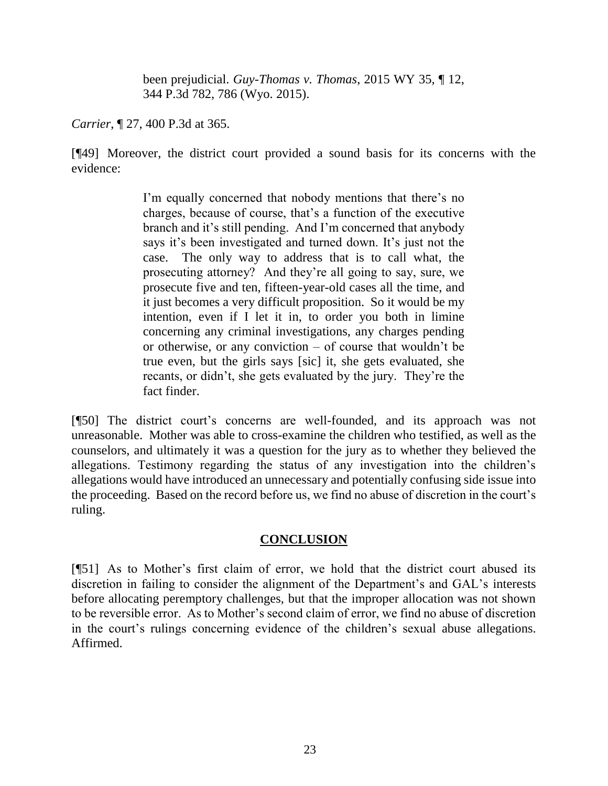been prejudicial. *[Guy-Thomas v. Thomas](http://www.westlaw.com/Link/Document/FullText?findType=Y&serNum=2035576478&pubNum=0004645&originatingDoc=If0bfa0a0770d11e7b7978f65e9bf93b3&refType=RP&fi=co_pp_sp_4645_786&originationContext=document&vr=3.0&rs=cblt1.0&transitionType=DocumentItem&contextData=(sc.Search)#co_pp_sp_4645_786)*, 2015 WY 35, ¶ 12, [344 P.3d 782, 786 \(Wyo. 2015\).](http://www.westlaw.com/Link/Document/FullText?findType=Y&serNum=2035576478&pubNum=0004645&originatingDoc=If0bfa0a0770d11e7b7978f65e9bf93b3&refType=RP&fi=co_pp_sp_4645_786&originationContext=document&vr=3.0&rs=cblt1.0&transitionType=DocumentItem&contextData=(sc.Search)#co_pp_sp_4645_786)

*Carrier*, ¶ 27, 400 P.3d at 365.

[¶49] Moreover, the district court provided a sound basis for its concerns with the evidence:

> I'm equally concerned that nobody mentions that there's no charges, because of course, that's a function of the executive branch and it's still pending. And I'm concerned that anybody says it's been investigated and turned down. It's just not the case. The only way to address that is to call what, the prosecuting attorney? And they're all going to say, sure, we prosecute five and ten, fifteen-year-old cases all the time, and it just becomes a very difficult proposition. So it would be my intention, even if I let it in, to order you both in limine concerning any criminal investigations, any charges pending or otherwise, or any conviction – of course that wouldn't be true even, but the girls says [sic] it, she gets evaluated, she recants, or didn't, she gets evaluated by the jury. They're the fact finder.

[¶50] The district court's concerns are well-founded, and its approach was not unreasonable. Mother was able to cross-examine the children who testified, as well as the counselors, and ultimately it was a question for the jury as to whether they believed the allegations. Testimony regarding the status of any investigation into the children's allegations would have introduced an unnecessary and potentially confusing side issue into the proceeding. Based on the record before us, we find no abuse of discretion in the court's ruling.

## **CONCLUSION**

[¶51] As to Mother's first claim of error, we hold that the district court abused its discretion in failing to consider the alignment of the Department's and GAL's interests before allocating peremptory challenges, but that the improper allocation was not shown to be reversible error. As to Mother's second claim of error, we find no abuse of discretion in the court's rulings concerning evidence of the children's sexual abuse allegations. Affirmed.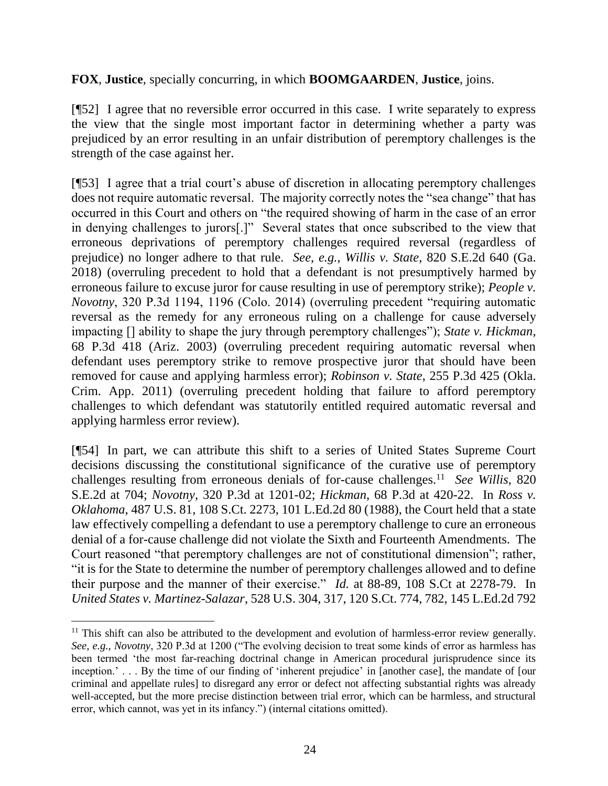## **FOX**, **Justice**, specially concurring, in which **BOOMGAARDEN**, **Justice**, joins.

[¶52] I agree that no reversible error occurred in this case. I write separately to express the view that the single most important factor in determining whether a party was prejudiced by an error resulting in an unfair distribution of peremptory challenges is the strength of the case against her.

[¶53] I agree that a trial court's abuse of discretion in allocating peremptory challenges does not require automatic reversal. The majority correctly notes the "sea change" that has occurred in this Court and others on "the required showing of harm in the case of an error in denying challenges to jurors[.]" Several states that once subscribed to the view that erroneous deprivations of peremptory challenges required reversal (regardless of prejudice) no longer adhere to that rule. *See, e.g.*, *Willis v. State*, 820 S.E.2d 640 (Ga. 2018) (overruling precedent to hold that a defendant is not presumptively harmed by erroneous failure to excuse juror for cause resulting in use of peremptory strike); *People v. Novotny*, 320 P.3d 1194, 1196 (Colo. 2014) (overruling precedent "requiring automatic reversal as the remedy for any erroneous ruling on a challenge for cause adversely impacting [] ability to shape the jury through peremptory challenges"); *State v. Hickman*, 68 P.3d 418 (Ariz. 2003) (overruling precedent requiring automatic reversal when defendant uses peremptory strike to remove prospective juror that should have been removed for cause and applying harmless error); *Robinson v. State*, 255 P.3d 425 (Okla. Crim. App. 2011) (overruling precedent holding that failure to afford peremptory challenges to which defendant was statutorily entitled required automatic reversal and applying harmless error review).

[¶54] In part, we can attribute this shift to a series of United States Supreme Court decisions discussing the constitutional significance of the curative use of peremptory challenges resulting from erroneous denials of for-cause challenges.<sup>11</sup> *See Willis*, 820 S.E.2d at 704; *Novotny*, 320 P.3d at 1201-02; *Hickman*, 68 P.3d at 420-22. In *Ross v. Oklahoma*, 487 U.S. 81, 108 S.Ct. 2273, 101 L.Ed.2d 80 (1988), the Court held that a state law effectively compelling a defendant to use a peremptory challenge to cure an erroneous denial of a for-cause challenge did not violate the Sixth and Fourteenth Amendments. The Court reasoned "that peremptory challenges are not of constitutional dimension"; rather, "it is for the State to determine the number of peremptory challenges allowed and to define their purpose and the manner of their exercise." *Id.* at 88-89, 108 S.Ct at 2278-79. In *United States v. Martinez-Salazar*, 528 U.S. 304, 317, 120 S.Ct. 774, 782, 145 L.Ed.2d 792

 $\overline{a}$ 

<sup>&</sup>lt;sup>11</sup> This shift can also be attributed to the development and evolution of harmless-error review generally. *See, e.g.*, *Novotny*, 320 P.3d at 1200 ("The evolving decision to treat some kinds of error as harmless has been termed 'the most far-reaching doctrinal change in American procedural jurisprudence since its inception.' . . . By the time of our finding of 'inherent prejudice' in [another case], the mandate of [our criminal and appellate rules] to disregard any error or defect not affecting substantial rights was already well-accepted, but the more precise distinction between trial error, which can be harmless, and structural error, which cannot, was yet in its infancy.") (internal citations omitted).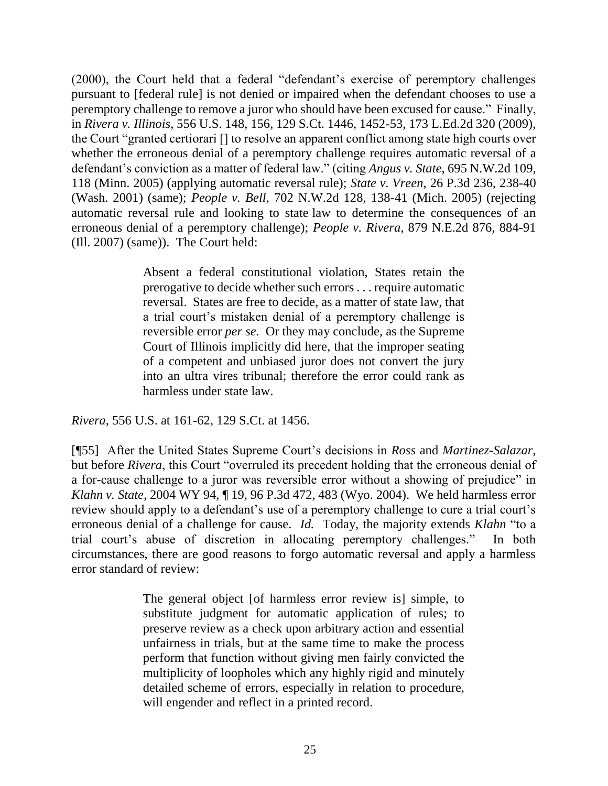(2000), the Court held that a federal "defendant's exercise of peremptory challenges pursuant to [federal rule] is not denied or impaired when the defendant chooses to use a peremptory challenge to remove a juror who should have been excused for cause." Finally, in *Rivera v. Illinois*, 556 U.S. 148, 156, 129 S.Ct. 1446, 1452-53, 173 L.Ed.2d 320 (2009), the Court "granted certiorari [] to resolve an apparent conflict among state high courts over whether the erroneous denial of a peremptory challenge requires automatic reversal of a defendant's conviction as a matter of federal law." (citing *Angus v. State*, 695 N.W.2d 109, 118 (Minn. 2005) (applying automatic reversal rule); *State v. Vreen*, 26 P.3d 236, 238-40 (Wash. 2001) (same); *People v. Bell*, 702 N.W.2d 128, 138-41 (Mich. 2005) (rejecting automatic reversal rule and looking to state law to determine the consequences of an erroneous denial of a peremptory challenge); *People v. Rivera*, 879 N.E.2d 876, 884-91 (Ill. 2007) (same)). The Court held:

> Absent a federal constitutional violation, States retain the prerogative to decide whether such errors . . . require automatic reversal. States are free to decide, as a matter of state law, that a trial court's mistaken denial of a peremptory challenge is reversible error *per se*. Or they may conclude, as the Supreme Court of Illinois implicitly did here, that the improper seating of a competent and unbiased juror does not convert the jury into an ultra vires tribunal; therefore the error could rank as harmless under state law.

*Rivera*, 556 U.S. at 161-62, 129 S.Ct. at 1456.

[¶55] After the United States Supreme Court's decisions in *Ross* and *Martinez-Salazar*, but before *Rivera*, this Court "overruled its precedent holding that the erroneous denial of a for-cause challenge to a juror was reversible error without a showing of prejudice" in *Klahn v. State*, 2004 WY 94, ¶ 19, 96 P.3d 472, 483 (Wyo. 2004). We held harmless error review should apply to a defendant's use of a peremptory challenge to cure a trial court's erroneous denial of a challenge for cause. *Id.* Today, the majority extends *Klahn* "to a trial court's abuse of discretion in allocating peremptory challenges." In both circumstances, there are good reasons to forgo automatic reversal and apply a harmless error standard of review:

> The general object [of harmless error review is] simple, to substitute judgment for automatic application of rules; to preserve review as a check upon arbitrary action and essential unfairness in trials, but at the same time to make the process perform that function without giving men fairly convicted the multiplicity of loopholes which any highly rigid and minutely detailed scheme of errors, especially in relation to procedure, will engender and reflect in a printed record.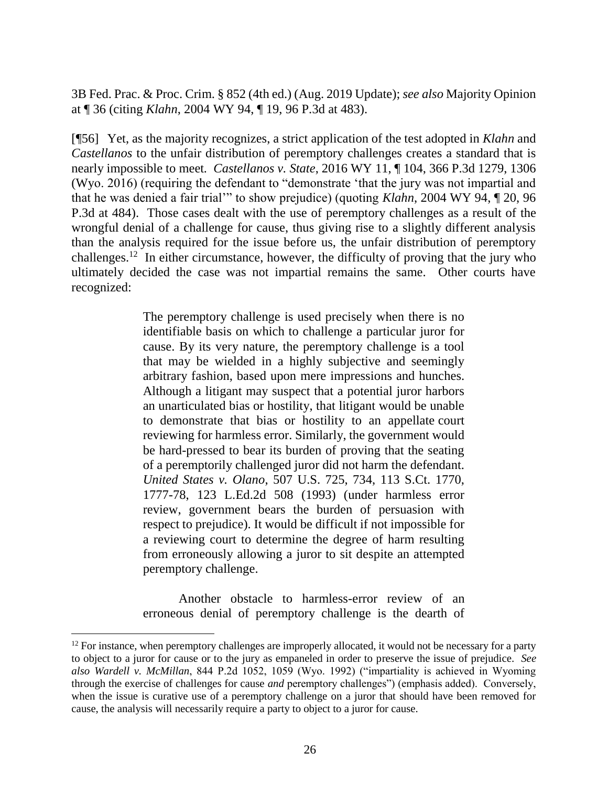3B Fed. Prac. & Proc. Crim. § 852 (4th ed.) (Aug. 2019 Update); *see also* Majority Opinion at ¶ 36 (citing *Klahn*, 2004 WY 94, ¶ 19, 96 P.3d at 483).

[¶56] Yet, as the majority recognizes, a strict application of the test adopted in *Klahn* and *Castellanos* to the unfair distribution of peremptory challenges creates a standard that is nearly impossible to meet*. Castellanos v. State*, 2016 WY 11, ¶ 104, 366 P.3d 1279, 1306 (Wyo. 2016) (requiring the defendant to "demonstrate 'that the jury was not impartial and that he was denied a fair trial'" to show prejudice) (quoting *Klahn*, 2004 WY 94, ¶ 20, 96 P.3d at 484). Those cases dealt with the use of peremptory challenges as a result of the wrongful denial of a challenge for cause, thus giving rise to a slightly different analysis than the analysis required for the issue before us, the unfair distribution of peremptory challenges.<sup>12</sup> In either circumstance, however, the difficulty of proving that the jury who ultimately decided the case was not impartial remains the same. Other courts have recognized:

> The peremptory challenge is used precisely when there is no identifiable basis on which to challenge a particular juror for cause. By its very nature, the peremptory challenge is a tool that may be wielded in a highly subjective and seemingly arbitrary fashion, based upon mere impressions and hunches. Although a litigant may suspect that a potential juror harbors an unarticulated bias or hostility, that litigant would be unable to demonstrate that bias or hostility to an appellate court reviewing for harmless error. Similarly, the government would be hard-pressed to bear its burden of proving that the seating of a peremptorily challenged juror did not harm the defendant. *United States v. Olano*, 507 U.S. 725, 734, 113 S.Ct. 1770, 1777-78, 123 L.Ed.2d 508 (1993) (under harmless error review, government bears the burden of persuasion with respect to prejudice). It would be difficult if not impossible for a reviewing court to determine the degree of harm resulting from erroneously allowing a juror to sit despite an attempted peremptory challenge.

> Another obstacle to harmless-error review of an erroneous denial of peremptory challenge is the dearth of

 $\overline{a}$ 

 $12$  For instance, when peremptory challenges are improperly allocated, it would not be necessary for a party to object to a juror for cause or to the jury as empaneled in order to preserve the issue of prejudice. *See also Wardell v. McMillan*, 844 P.2d 1052, 1059 (Wyo. 1992) ("impartiality is achieved in Wyoming through the exercise of challenges for cause *and* peremptory challenges") (emphasis added). Conversely, when the issue is curative use of a peremptory challenge on a juror that should have been removed for cause, the analysis will necessarily require a party to object to a juror for cause.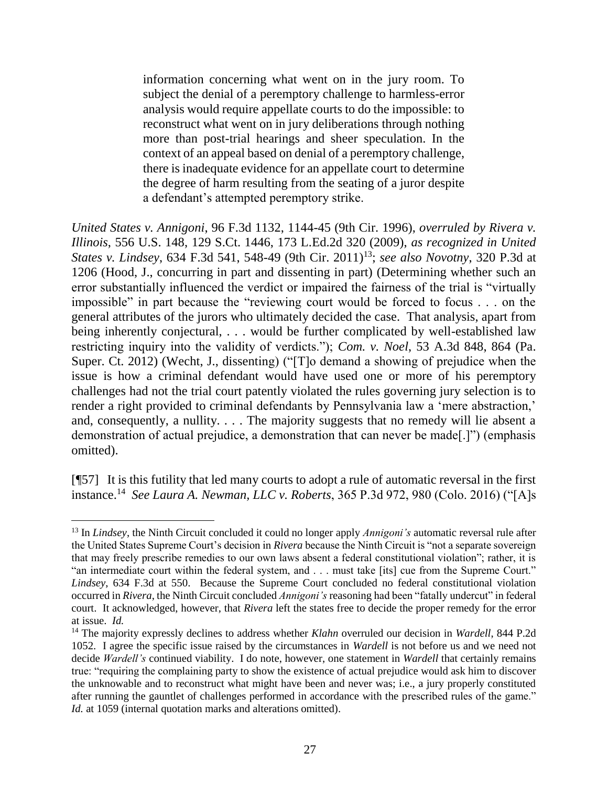information concerning what went on in the jury room. To subject the denial of a peremptory challenge to harmless-error analysis would require appellate courts to do the impossible: to reconstruct what went on in jury deliberations through nothing more than post-trial hearings and sheer speculation. In the context of an appeal based on denial of a peremptory challenge, there is inadequate evidence for an appellate court to determine the degree of harm resulting from the seating of a juror despite a defendant's attempted peremptory strike.

*United States v. Annigoni*, 96 F.3d 1132, 1144-45 (9th Cir. 1996), *overruled by Rivera v. Illinois*, 556 U.S. 148, 129 S.Ct. 1446, 173 L.Ed.2d 320 (2009), *as recognized in United States v. Lindsey*, 634 F.3d 541, 548-49 (9th Cir. 2011)<sup>13</sup>; *see also Novotny*, 320 P.3d at 1206 (Hood, J., concurring in part and dissenting in part) (Determining whether such an error substantially influenced the verdict or impaired the fairness of the trial is "virtually impossible" in part because the "reviewing court would be forced to focus . . . on the general attributes of the jurors who ultimately decided the case. That analysis, apart from being inherently conjectural, ... would be further complicated by well-established law restricting inquiry into the validity of verdicts."); *Com. v. Noel*, 53 A.3d 848, 864 (Pa. Super. Ct. 2012) (Wecht, J., dissenting) ("[T]o demand a showing of prejudice when the issue is how a criminal defendant would have used one or more of his peremptory challenges had not the trial court patently violated the rules governing jury selection is to render a right provided to criminal defendants by Pennsylvania law a 'mere abstraction,' and, consequently, a nullity. . . . The majority suggests that no remedy will lie absent a demonstration of actual prejudice, a demonstration that can never be made[.]") (emphasis omitted).

[¶57] It is this futility that led many courts to adopt a rule of automatic reversal in the first instance.<sup>14</sup> *See Laura A. Newman, LLC v. Roberts*, 365 P.3d 972, 980 (Colo. 2016) ("[A]s

 <sup>13</sup> In *Lindsey*, the Ninth Circuit concluded it could no longer apply *Annigoni's* automatic reversal rule after the United States Supreme Court's decision in *Rivera* because the Ninth Circuit is "not a separate sovereign that may freely prescribe remedies to our own laws absent a federal constitutional violation"; rather, it is "an intermediate court within the federal system, and . . . must take [its] cue from the Supreme Court." *Lindsey*, 634 F.3d at 550. Because the Supreme Court concluded no federal constitutional violation occurred in *Rivera*, the Ninth Circuit concluded *Annigoni's* reasoning had been "fatally undercut" in federal court. It acknowledged, however, that *Rivera* left the states free to decide the proper remedy for the error at issue. *Id.* 

<sup>14</sup> The majority expressly declines to address whether *Klahn* overruled our decision in *Wardell*, 844 P.2d 1052. I agree the specific issue raised by the circumstances in *Wardell* is not before us and we need not decide *Wardell's* continued viability. I do note, however, one statement in *Wardell* that certainly remains true: "requiring the complaining party to show the existence of actual prejudice would ask him to discover the unknowable and to reconstruct what might have been and never was; i.e., a jury properly constituted after running the gauntlet of challenges performed in accordance with the prescribed rules of the game." *Id.* at 1059 (internal quotation marks and alterations omitted).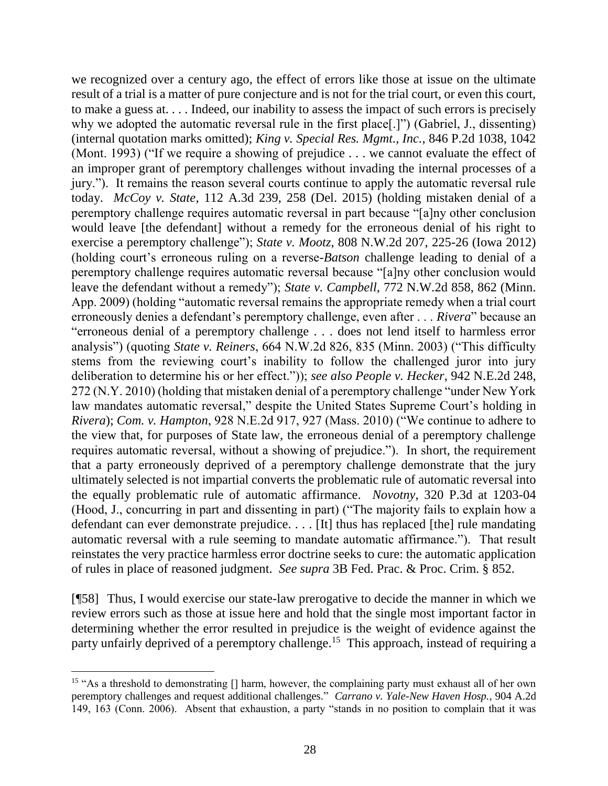we recognized over a century ago, the effect of errors like those at issue on the ultimate result of a trial is a matter of pure conjecture and is not for the trial court, or even this court, to make a guess at. . . . Indeed, our inability to assess the impact of such errors is precisely why we adopted the automatic reversal rule in the first place[.]") (Gabriel, J., dissenting) (internal quotation marks omitted); *King v. Special Res. Mgmt., Inc.*, 846 P.2d 1038, 1042 (Mont. 1993) ("If we require a showing of prejudice . . . we cannot evaluate the effect of an improper grant of peremptory challenges without invading the internal processes of a jury."). It remains the reason several courts continue to apply the automatic reversal rule today. *McCoy v. State*, 112 A.3d 239, 258 (Del. 2015) (holding mistaken denial of a peremptory challenge requires automatic reversal in part because "[a]ny other conclusion would leave [the defendant] without a remedy for the erroneous denial of his right to exercise a peremptory challenge"); *State v. Mootz*, 808 N.W.2d 207, 225-26 (Iowa 2012) (holding court's erroneous ruling on a reverse-*Batson* challenge leading to denial of a peremptory challenge requires automatic reversal because "[a]ny other conclusion would leave the defendant without a remedy"); *State v. Campbell*, 772 N.W.2d 858, 862 (Minn. App. 2009) (holding "automatic reversal remains the appropriate remedy when a trial court erroneously denies a defendant's peremptory challenge, even after . . . *Rivera*" because an "erroneous denial of a peremptory challenge . . . does not lend itself to harmless error analysis") (quoting *State v. Reiners*, 664 N.W.2d 826, 835 (Minn. 2003) ("This difficulty stems from the reviewing court's inability to follow the challenged juror into jury deliberation to determine his or her effect.")); *see also People v. Hecker*, 942 N.E.2d 248, 272 (N.Y. 2010) (holding that mistaken denial of a peremptory challenge "under New York law mandates automatic reversal," despite the United States Supreme Court's holding in *Rivera*); *Com. v. Hampton*, 928 N.E.2d 917, 927 (Mass. 2010) ("We continue to adhere to the view that, for purposes of State law, the erroneous denial of a peremptory challenge requires automatic reversal, without a showing of prejudice."). In short, the requirement that a party erroneously deprived of a peremptory challenge demonstrate that the jury ultimately selected is not impartial converts the problematic rule of automatic reversal into the equally problematic rule of automatic affirmance. *Novotny*, 320 P.3d at 1203-04 (Hood, J., concurring in part and dissenting in part) ("The majority fails to explain how a defendant can ever demonstrate prejudice. . . . [It] thus has replaced [the] rule mandating automatic reversal with a rule seeming to mandate automatic affirmance."). That result reinstates the very practice harmless error doctrine seeks to cure: the automatic application of rules in place of reasoned judgment. *See supra* 3B Fed. Prac. & Proc. Crim. § 852.

[¶58] Thus, I would exercise our state-law prerogative to decide the manner in which we review errors such as those at issue here and hold that the single most important factor in determining whether the error resulted in prejudice is the weight of evidence against the party unfairly deprived of a peremptory challenge.<sup>15</sup> This approach, instead of requiring a

<sup>&</sup>lt;sup>15</sup> "As a threshold to demonstrating [] harm, however, the complaining party must exhaust all of her own peremptory challenges and request additional challenges." *Carrano v. Yale-New Haven Hosp.*, 904 A.2d 149, 163 (Conn. 2006). Absent that exhaustion, a party "stands in no position to complain that it was